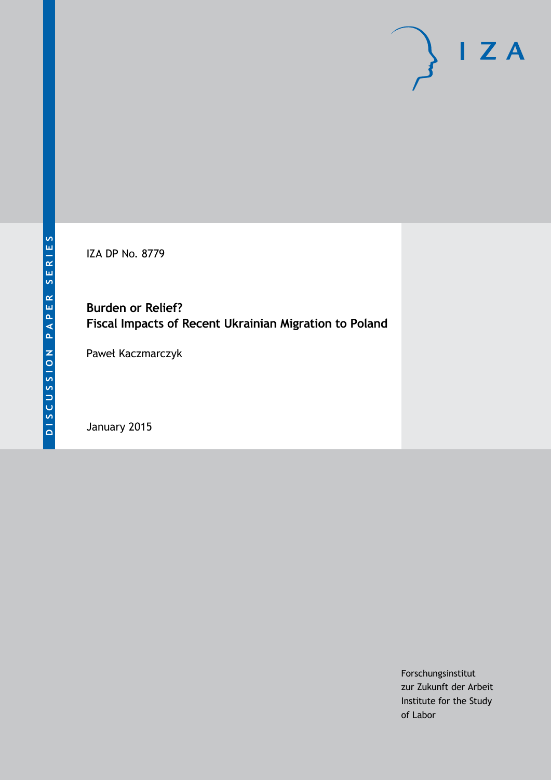IZA DP No. 8779

# **Burden or Relief? Fiscal Impacts of Recent Ukrainian Migration to Poland**

Paweł Kaczmarczyk

January 2015

Forschungsinstitut zur Zukunft der Arbeit Institute for the Study of Labor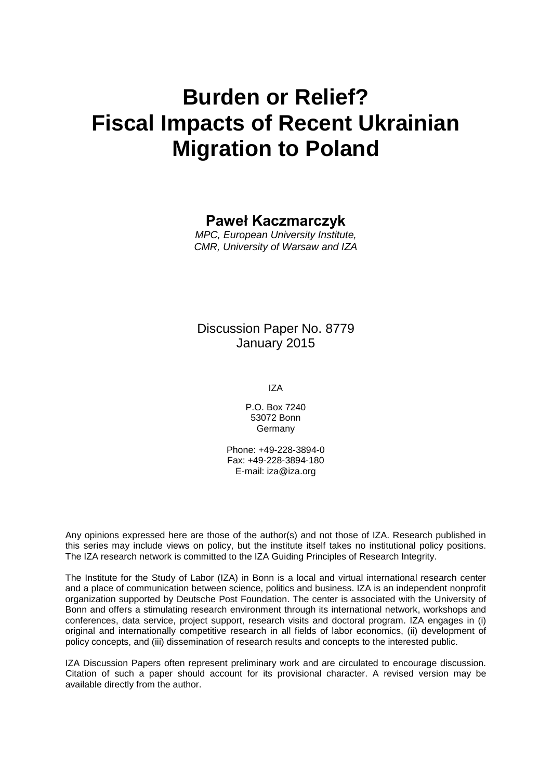# **Burden or Relief? Fiscal Impacts of Recent Ukrainian Migration to Poland**

# **Paweł Kaczmarczyk**

*MPC, European University Institute, CMR, University of Warsaw and IZA*

# Discussion Paper No. 8779 January 2015

IZA

P.O. Box 7240 53072 Bonn Germany

Phone: +49-228-3894-0 Fax: +49-228-3894-180 E-mail: [iza@iza.org](mailto:iza@iza.org)

Any opinions expressed here are those of the author(s) and not those of IZA. Research published in this series may include views on policy, but the institute itself takes no institutional policy positions. The IZA research network is committed to the IZA Guiding Principles of Research Integrity.

The Institute for the Study of Labor (IZA) in Bonn is a local and virtual international research center and a place of communication between science, politics and business. IZA is an independent nonprofit organization supported by Deutsche Post Foundation. The center is associated with the University of Bonn and offers a stimulating research environment through its international network, workshops and conferences, data service, project support, research visits and doctoral program. IZA engages in (i) original and internationally competitive research in all fields of labor economics, (ii) development of policy concepts, and (iii) dissemination of research results and concepts to the interested public.

IZA Discussion Papers often represent preliminary work and are circulated to encourage discussion. Citation of such a paper should account for its provisional character. A revised version may be available directly from the author.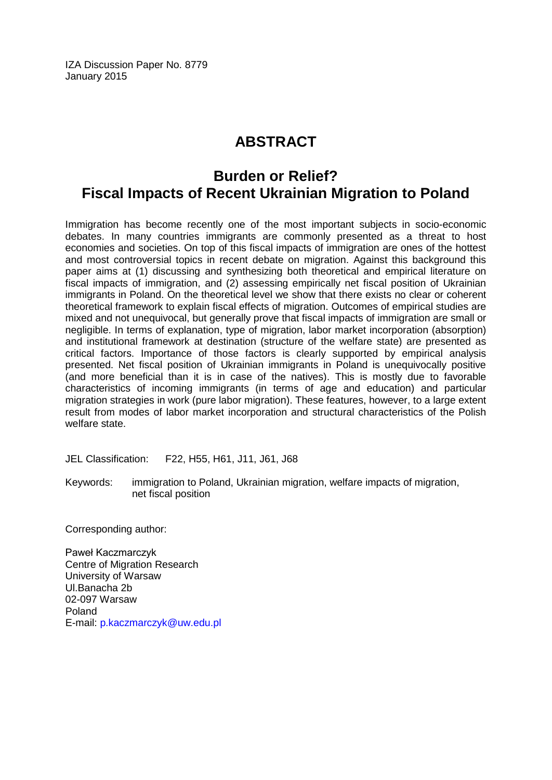IZA Discussion Paper No. 8779 January 2015

# **ABSTRACT**

# **Burden or Relief? Fiscal Impacts of Recent Ukrainian Migration to Poland**

Immigration has become recently one of the most important subjects in socio-economic debates. In many countries immigrants are commonly presented as a threat to host economies and societies. On top of this fiscal impacts of immigration are ones of the hottest and most controversial topics in recent debate on migration. Against this background this paper aims at (1) discussing and synthesizing both theoretical and empirical literature on fiscal impacts of immigration, and (2) assessing empirically net fiscal position of Ukrainian immigrants in Poland. On the theoretical level we show that there exists no clear or coherent theoretical framework to explain fiscal effects of migration. Outcomes of empirical studies are mixed and not unequivocal, but generally prove that fiscal impacts of immigration are small or negligible. In terms of explanation, type of migration, labor market incorporation (absorption) and institutional framework at destination (structure of the welfare state) are presented as critical factors. Importance of those factors is clearly supported by empirical analysis presented. Net fiscal position of Ukrainian immigrants in Poland is unequivocally positive (and more beneficial than it is in case of the natives). This is mostly due to favorable characteristics of incoming immigrants (in terms of age and education) and particular migration strategies in work (pure labor migration). These features, however, to a large extent result from modes of labor market incorporation and structural characteristics of the Polish welfare state.

JEL Classification: F22, H55, H61, J11, J61, J68

Keywords: immigration to Poland, Ukrainian migration, welfare impacts of migration, net fiscal position

Corresponding author:

Paweł Kaczmarczyk Centre of Migration Research University of Warsaw Ul.Banacha 2b 02-097 Warsaw Poland E-mail: [p.kaczmarczyk@uw.edu.pl](mailto:p.kaczmarczyk@uw.edu.pl)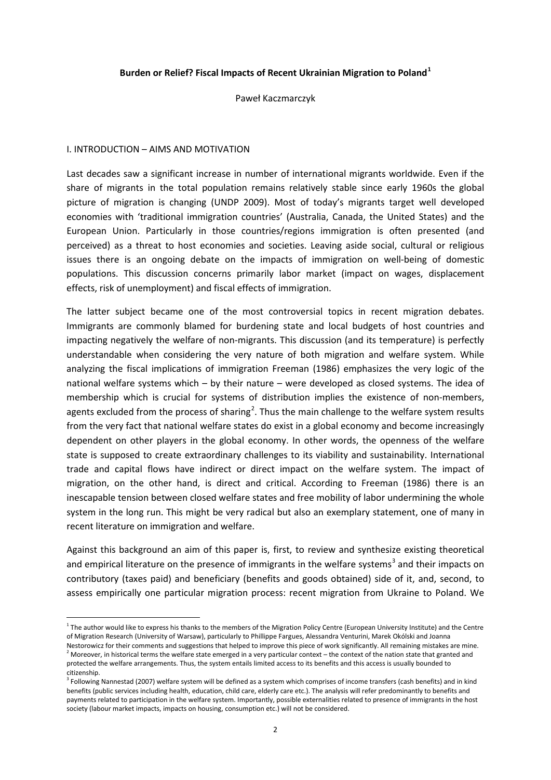#### **Burden or Relief? Fiscal Impacts of Recent Ukrainian Migration to Poland[1](#page-3-0)**

Paweł Kaczmarczyk

#### I. INTRODUCTION – AIMS AND MOTIVATION

Last decades saw a significant increase in number of international migrants worldwide. Even if the share of migrants in the total population remains relatively stable since early 1960s the global picture of migration is changing (UNDP 2009). Most of today's migrants target well developed economies with 'traditional immigration countries' (Australia, Canada, the United States) and the European Union. Particularly in those countries/regions immigration is often presented (and perceived) as a threat to host economies and societies. Leaving aside social, cultural or religious issues there is an ongoing debate on the impacts of immigration on well-being of domestic populations. This discussion concerns primarily labor market (impact on wages, displacement effects, risk of unemployment) and fiscal effects of immigration.

The latter subject became one of the most controversial topics in recent migration debates. Immigrants are commonly blamed for burdening state and local budgets of host countries and impacting negatively the welfare of non-migrants. This discussion (and its temperature) is perfectly understandable when considering the very nature of both migration and welfare system. While analyzing the fiscal implications of immigration Freeman (1986) emphasizes the very logic of the national welfare systems which – by their nature – were developed as closed systems. The idea of membership which is crucial for systems of distribution implies the existence of non-members, agents excluded from the process of sharing<sup>[2](#page-3-1)</sup>. Thus the main challenge to the welfare system results from the very fact that national welfare states do exist in a global economy and become increasingly dependent on other players in the global economy. In other words, the openness of the welfare state is supposed to create extraordinary challenges to its viability and sustainability. International trade and capital flows have indirect or direct impact on the welfare system. The impact of migration, on the other hand, is direct and critical. According to Freeman (1986) there is an inescapable tension between closed welfare states and free mobility of labor undermining the whole system in the long run. This might be very radical but also an exemplary statement, one of many in recent literature on immigration and welfare.

Against this background an aim of this paper is, first, to review and synthesize existing theoretical and empirical literature on the presence of immigrants in the welfare systems<sup>[3](#page-3-2)</sup> and their impacts on contributory (taxes paid) and beneficiary (benefits and goods obtained) side of it, and, second, to assess empirically one particular migration process: recent migration from Ukraine to Poland. We

<span id="page-3-0"></span> $1$  The author would like to express his thanks to the members of the Migration Policy Centre (European University Institute) and the Centre of Migration Research (University of Warsaw), particularly to Phillippe Fargues, Alessandra Venturini, Marek Okólski and Joanna<br>Nestorowicz for their comments and suggestions that helped to improve this piece of work signi

<span id="page-3-3"></span><span id="page-3-1"></span><sup>&</sup>lt;sup>2</sup> Moreover, in historical terms the welfare state emerged in a very particular context – the context of the nation state that granted and protected the welfare arrangements. Thus, the system entails limited access to its benefits and this access is usually bounded to citizenship.

<span id="page-3-2"></span><sup>&</sup>lt;sup>3</sup> Following Nannestad (2007) welfare system will be defined as a system which comprises of income transfers (cash benefits) and in kind benefits (public services including health, education, child care, elderly care etc.). The analysis will refer predominantly to benefits and payments related to participation in the welfare system. Importantly, possible externalities related to presence of immigrants in the host society (labour market impacts, impacts on housing, consumption etc.) will not be considered.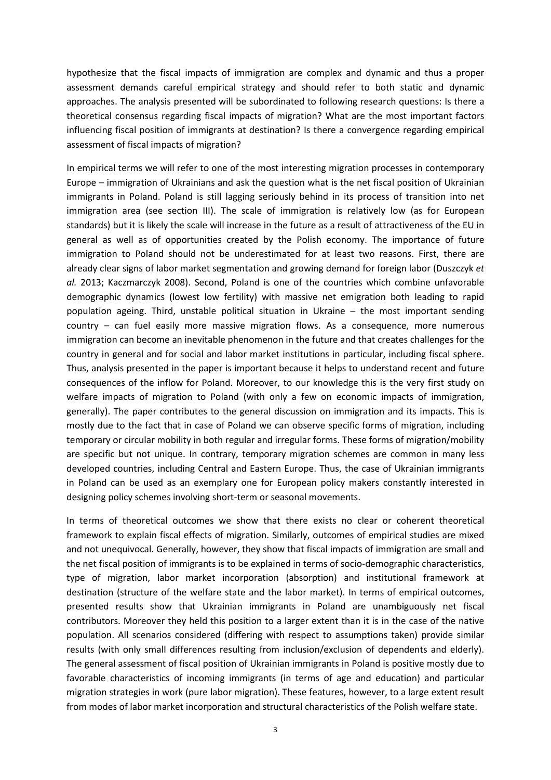hypothesize that the fiscal impacts of immigration are complex and dynamic and thus a proper assessment demands careful empirical strategy and should refer to both static and dynamic approaches. The analysis presented will be subordinated to following research questions: Is there a theoretical consensus regarding fiscal impacts of migration? What are the most important factors influencing fiscal position of immigrants at destination? Is there a convergence regarding empirical assessment of fiscal impacts of migration?

In empirical terms we will refer to one of the most interesting migration processes in contemporary Europe – immigration of Ukrainians and ask the question what is the net fiscal position of Ukrainian immigrants in Poland. Poland is still lagging seriously behind in its process of transition into net immigration area (see section III). The scale of immigration is relatively low (as for European standards) but it is likely the scale will increase in the future as a result of attractiveness of the EU in general as well as of opportunities created by the Polish economy. The importance of future immigration to Poland should not be underestimated for at least two reasons. First, there are already clear signs of labor market segmentation and growing demand for foreign labor (Duszczyk *et al.* 2013; Kaczmarczyk 2008). Second, Poland is one of the countries which combine unfavorable demographic dynamics (lowest low fertility) with massive net emigration both leading to rapid population ageing. Third, unstable political situation in Ukraine – the most important sending country – can fuel easily more massive migration flows. As a consequence, more numerous immigration can become an inevitable phenomenon in the future and that creates challenges for the country in general and for social and labor market institutions in particular, including fiscal sphere. Thus, analysis presented in the paper is important because it helps to understand recent and future consequences of the inflow for Poland. Moreover, to our knowledge this is the very first study on welfare impacts of migration to Poland (with only a few on economic impacts of immigration, generally). The paper contributes to the general discussion on immigration and its impacts. This is mostly due to the fact that in case of Poland we can observe specific forms of migration, including temporary or circular mobility in both regular and irregular forms. These forms of migration/mobility are specific but not unique. In contrary, temporary migration schemes are common in many less developed countries, including Central and Eastern Europe. Thus, the case of Ukrainian immigrants in Poland can be used as an exemplary one for European policy makers constantly interested in designing policy schemes involving short-term or seasonal movements.

In terms of theoretical outcomes we show that there exists no clear or coherent theoretical framework to explain fiscal effects of migration. Similarly, outcomes of empirical studies are mixed and not unequivocal. Generally, however, they show that fiscal impacts of immigration are small and the net fiscal position of immigrants is to be explained in terms of socio-demographic characteristics, type of migration, labor market incorporation (absorption) and institutional framework at destination (structure of the welfare state and the labor market). In terms of empirical outcomes, presented results show that Ukrainian immigrants in Poland are unambiguously net fiscal contributors. Moreover they held this position to a larger extent than it is in the case of the native population. All scenarios considered (differing with respect to assumptions taken) provide similar results (with only small differences resulting from inclusion/exclusion of dependents and elderly). The general assessment of fiscal position of Ukrainian immigrants in Poland is positive mostly due to favorable characteristics of incoming immigrants (in terms of age and education) and particular migration strategies in work (pure labor migration). These features, however, to a large extent result from modes of labor market incorporation and structural characteristics of the Polish welfare state.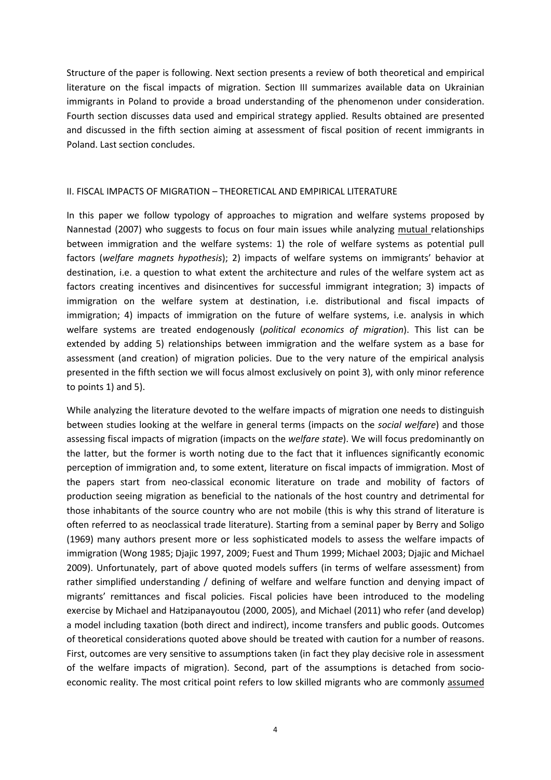Structure of the paper is following. Next section presents a review of both theoretical and empirical literature on the fiscal impacts of migration. Section III summarizes available data on Ukrainian immigrants in Poland to provide a broad understanding of the phenomenon under consideration. Fourth section discusses data used and empirical strategy applied. Results obtained are presented and discussed in the fifth section aiming at assessment of fiscal position of recent immigrants in Poland. Last section concludes.

#### II. FISCAL IMPACTS OF MIGRATION – THEORETICAL AND EMPIRICAL LITERATURE

In this paper we follow typology of approaches to migration and welfare systems proposed by Nannestad (2007) who suggests to focus on four main issues while analyzing mutual relationships between immigration and the welfare systems: 1) the role of welfare systems as potential pull factors (*welfare magnets hypothesis*); 2) impacts of welfare systems on immigrants' behavior at destination, i.e. a question to what extent the architecture and rules of the welfare system act as factors creating incentives and disincentives for successful immigrant integration; 3) impacts of immigration on the welfare system at destination, i.e. distributional and fiscal impacts of immigration; 4) impacts of immigration on the future of welfare systems, i.e. analysis in which welfare systems are treated endogenously (*political economics of migration*). This list can be extended by adding 5) relationships between immigration and the welfare system as a base for assessment (and creation) of migration policies. Due to the very nature of the empirical analysis presented in the fifth section we will focus almost exclusively on point 3), with only minor reference to points 1) and 5).

While analyzing the literature devoted to the welfare impacts of migration one needs to distinguish between studies looking at the welfare in general terms (impacts on the *social welfare*) and those assessing fiscal impacts of migration (impacts on the *welfare state*). We will focus predominantly on the latter, but the former is worth noting due to the fact that it influences significantly economic perception of immigration and, to some extent, literature on fiscal impacts of immigration. Most of the papers start from neo-classical economic literature on trade and mobility of factors of production seeing migration as beneficial to the nationals of the host country and detrimental for those inhabitants of the source country who are not mobile (this is why this strand of literature is often referred to as neoclassical trade literature). Starting from a seminal paper by Berry and Soligo (1969) many authors present more or less sophisticated models to assess the welfare impacts of immigration (Wong 1985; Djajic 1997, 2009; Fuest and Thum 1999; Michael 2003; Djajic and Michael 2009). Unfortunately, part of above quoted models suffers (in terms of welfare assessment) from rather simplified understanding / defining of welfare and welfare function and denying impact of migrants' remittances and fiscal policies. Fiscal policies have been introduced to the modeling exercise by Michael and Hatzipanayoutou (2000, 2005), and Michael (2011) who refer (and develop) a model including taxation (both direct and indirect), income transfers and public goods. Outcomes of theoretical considerations quoted above should be treated with caution for a number of reasons. First, outcomes are very sensitive to assumptions taken (in fact they play decisive role in assessment of the welfare impacts of migration). Second, part of the assumptions is detached from socioeconomic reality. The most critical point refers to low skilled migrants who are commonly assumed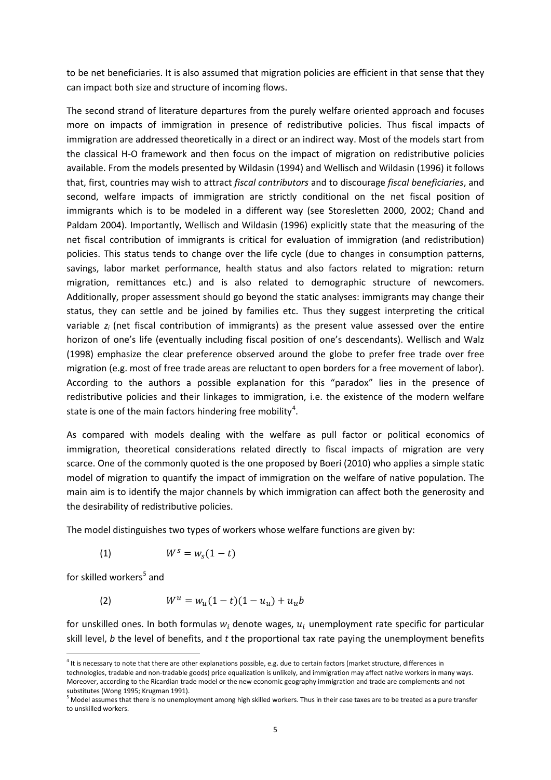to be net beneficiaries. It is also assumed that migration policies are efficient in that sense that they can impact both size and structure of incoming flows.

The second strand of literature departures from the purely welfare oriented approach and focuses more on impacts of immigration in presence of redistributive policies. Thus fiscal impacts of immigration are addressed theoretically in a direct or an indirect way. Most of the models start from the classical H-O framework and then focus on the impact of migration on redistributive policies available. From the models presented by Wildasin (1994) and Wellisch and Wildasin (1996) it follows that, first, countries may wish to attract *fiscal contributors* and to discourage *fiscal beneficiaries*, and second, welfare impacts of immigration are strictly conditional on the net fiscal position of immigrants which is to be modeled in a different way (see Storesletten 2000, 2002; Chand and Paldam 2004). Importantly, Wellisch and Wildasin (1996) explicitly state that the measuring of the net fiscal contribution of immigrants is critical for evaluation of immigration (and redistribution) policies. This status tends to change over the life cycle (due to changes in consumption patterns, savings, labor market performance, health status and also factors related to migration: return migration, remittances etc.) and is also related to demographic structure of newcomers. Additionally, proper assessment should go beyond the static analyses: immigrants may change their status, they can settle and be joined by families etc. Thus they suggest interpreting the critical variable *zi* (net fiscal contribution of immigrants) as the present value assessed over the entire horizon of one's life (eventually including fiscal position of one's descendants). Wellisch and Walz (1998) emphasize the clear preference observed around the globe to prefer free trade over free migration (e.g. most of free trade areas are reluctant to open borders for a free movement of labor). According to the authors a possible explanation for this "paradox" lies in the presence of redistributive policies and their linkages to immigration, i.e. the existence of the modern welfare state is one of the main factors hindering free mobility<sup>[4](#page-3-3)</sup>.

As compared with models dealing with the welfare as pull factor or political economics of immigration, theoretical considerations related directly to fiscal impacts of migration are very scarce. One of the commonly quoted is the one proposed by Boeri (2010) who applies a simple static model of migration to quantify the impact of immigration on the welfare of native population. The main aim is to identify the major channels by which immigration can affect both the generosity and the desirability of redistributive policies.

The model distinguishes two types of workers whose welfare functions are given by:

$$
(1) \hspace{1cm} W^s = w_s(1-t)
$$

for skilled workers<sup>[5](#page-6-0)</sup> and

(2) 
$$
W^u = w_u(1-t)(1-u_u) + u_u b
$$

for unskilled ones. In both formulas  $w_i$  denote wages,  $u_i$  unemployment rate specific for particular skill level, *b* the level of benefits, and *t* the proportional tax rate paying the unemployment benefits

<sup>&</sup>lt;sup>4</sup> It is necessary to note that there are other explanations possible, e.g. due to certain factors (market structure, differences in technologies, tradable and non-tradable goods) price equalization is unlikely, and immigration may affect native workers in many ways. Moreover, according to the Ricardian trade model or the new economic geography immigration and trade are complements and not substitutes (Wong 1995; Krugman 1991).

<span id="page-6-0"></span> $<sup>5</sup>$  Model assumes that there is no unemployment among high skilled workers. Thus in their case taxes are to be treated as a pure transfer</sup> to unskilled workers.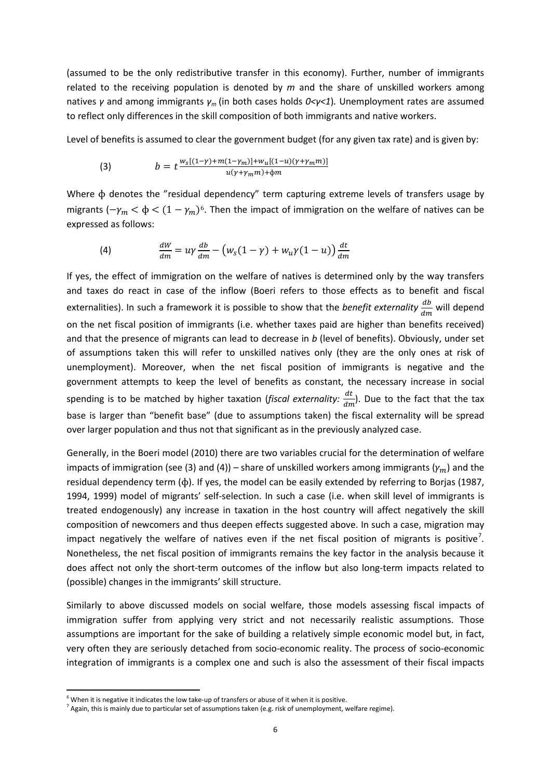(assumed to be the only redistributive transfer in this economy). Further, number of immigrants related to the receiving population is denoted by *m* and the share of unskilled workers among natives *γ* and among immigrants *γm* (in both cases holds *0<γ<1*)*.* Unemployment rates are assumed to reflect only differences in the skill composition of both immigrants and native workers.

Level of benefits is assumed to clear the government budget (for any given tax rate) and is given by:

(3) 
$$
b = t \frac{w_s[(1-\gamma)+m(1-\gamma_m)]+w_u[(1-u)(\gamma+\gamma_m m)]}{u(\gamma+\gamma_m m)+\phi m}
$$

Where ɸ denotes the "residual dependency" term capturing extreme levels of transfers usage by migrants  $(-\gamma_m < \phi < (1 - \gamma_m)^6$ . Then the impact of immigration on the welfare of natives can be expressed as follows:

(4) 
$$
\frac{dW}{dm} = u\gamma \frac{db}{dm} - \left(w_s(1-\gamma) + w_u\gamma(1-u)\right)\frac{dt}{dm}
$$

If yes, the effect of immigration on the welfare of natives is determined only by the way transfers and taxes do react in case of the inflow (Boeri refers to those effects as to benefit and fiscal externalities). In such a framework it is possible to show that the *benefit externality*  $\frac{db}{dm}$  will depend on the net fiscal position of immigrants (i.e. whether taxes paid are higher than benefits received) and that the presence of migrants can lead to decrease in *b* (level of benefits). Obviously, under set of assumptions taken this will refer to unskilled natives only (they are the only ones at risk of unemployment). Moreover, when the net fiscal position of immigrants is negative and the government attempts to keep the level of benefits as constant, the necessary increase in social spending is to be matched by higher taxation (*fiscal externality:*  $\frac{dt}{dm}$ ). Due to the fact that the tax base is larger than "benefit base" (due to assumptions taken) the fiscal externality will be spread over larger population and thus not that significant as in the previously analyzed case.

Generally, in the Boeri model (2010) there are two variables crucial for the determination of welfare impacts of immigration (see (3) and (4)) – share of unskilled workers among immigrants ( $y_m$ ) and the residual dependency term (ɸ). If yes, the model can be easily extended by referring to Borjas (1987, 1994, 1999) model of migrants' self-selection. In such a case (i.e. when skill level of immigrants is treated endogenously) any increase in taxation in the host country will affect negatively the skill composition of newcomers and thus deepen effects suggested above. In such a case, migration may impact negatively the welfare of natives even if the net fiscal position of migrants is positive<sup>[7](#page-7-0)</sup>. Nonetheless, the net fiscal position of immigrants remains the key factor in the analysis because it does affect not only the short-term outcomes of the inflow but also long-term impacts related to (possible) changes in the immigrants' skill structure.

Similarly to above discussed models on social welfare, those models assessing fiscal impacts of immigration suffer from applying very strict and not necessarily realistic assumptions. Those assumptions are important for the sake of building a relatively simple economic model but, in fact, very often they are seriously detached from socio-economic reality. The process of socio-economic integration of immigrants is a complex one and such is also the assessment of their fiscal impacts

<span id="page-7-1"></span><span id="page-7-0"></span><sup>&</sup>lt;sup>6</sup> When it is negative it indicates the low take-up of transfers or abuse of it when it is positive.<br><sup>7</sup> Again, this is mainly due to particular set of assumptions taken (e.g. risk of unemployment, welfare regime).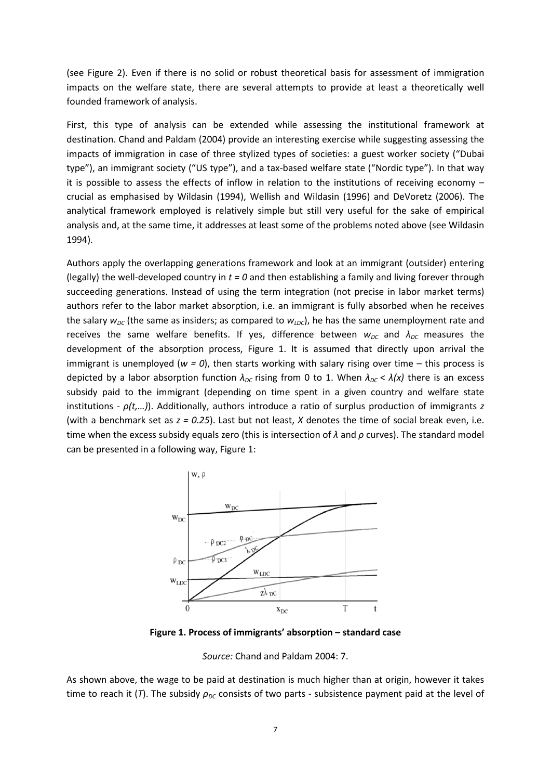(see Figure 2). Even if there is no solid or robust theoretical basis for assessment of immigration impacts on the welfare state, there are several attempts to provide at least a theoretically well founded framework of analysis.

First, this type of analysis can be extended while assessing the institutional framework at destination. Chand and Paldam (2004) provide an interesting exercise while suggesting assessing the impacts of immigration in case of three stylized types of societies: a guest worker society ("Dubai type"), an immigrant society ("US type"), and a tax-based welfare state ("Nordic type"). In that way it is possible to assess the effects of inflow in relation to the institutions of receiving economy – crucial as emphasised by Wildasin (1994), Wellish and Wildasin (1996) and DeVoretz (2006). The analytical framework employed is relatively simple but still very useful for the sake of empirical analysis and, at the same time, it addresses at least some of the problems noted above (see Wildasin 1994).

Authors apply the overlapping generations framework and look at an immigrant (outsider) entering (legally) the well-developed country in *t = 0* and then establishing a family and living forever through succeeding generations. Instead of using the term integration (not precise in labor market terms) authors refer to the labor market absorption, i.e. an immigrant is fully absorbed when he receives the salary  $w_{DC}$  (the same as insiders; as compared to  $w_{DC}$ ), he has the same unemployment rate and receives the same welfare benefits. If yes, difference between  $w_{DC}$  and  $\lambda_{DC}$  measures the development of the absorption process, Figure 1. It is assumed that directly upon arrival the immigrant is unemployed (*w = 0*), then starts working with salary rising over time – this process is depicted by a labor absorption function *λDC* rising from 0 to 1. When *λDC* < *λ(x)* there is an excess subsidy paid to the immigrant (depending on time spent in a given country and welfare state institutions - *ρ(t,…)*). Additionally, authors introduce a ratio of surplus production of immigrants *z* (with a benchmark set as *z = 0.25*). Last but not least, *X* denotes the time of social break even, i.e. time when the excess subsidy equals zero (this is intersection of *λ* and *ρ* curves). The standard model can be presented in a following way, Figure 1:



**Figure 1. Process of immigrants' absorption – standard case**

*Source:* Chand and Paldam 2004: 7.

As shown above, the wage to be paid at destination is much higher than at origin, however it takes time to reach it (*T*). The subsidy *ρ<sub>DC</sub>* consists of two parts - subsistence payment paid at the level of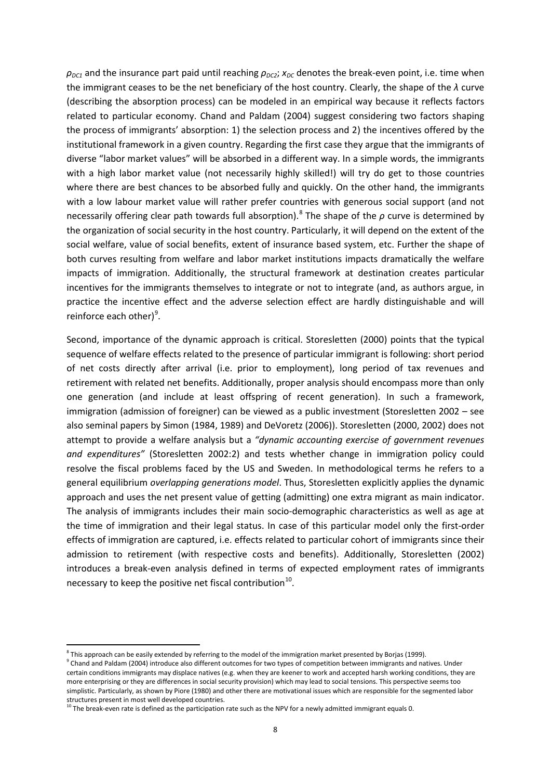$ρ<sub>DC1</sub>$  and the insurance part paid until reaching  $ρ<sub>DC2</sub>$ ;  $x<sub>DC</sub>$  denotes the break-even point, i.e. time when the immigrant ceases to be the net beneficiary of the host country. Clearly, the shape of the *λ* curve (describing the absorption process) can be modeled in an empirical way because it reflects factors related to particular economy. Chand and Paldam (2004) suggest considering two factors shaping the process of immigrants' absorption: 1) the selection process and 2) the incentives offered by the institutional framework in a given country. Regarding the first case they argue that the immigrants of diverse "labor market values" will be absorbed in a different way. In a simple words, the immigrants with a high labor market value (not necessarily highly skilled!) will try do get to those countries where there are best chances to be absorbed fully and quickly. On the other hand, the immigrants with a low labour market value will rather prefer countries with generous social support (and not necessarily offering clear path towards full absorption).[8](#page-7-1) The shape of the *ρ* curve is determined by the organization of social security in the host country. Particularly, it will depend on the extent of the social welfare, value of social benefits, extent of insurance based system, etc. Further the shape of both curves resulting from welfare and labor market institutions impacts dramatically the welfare impacts of immigration. Additionally, the structural framework at destination creates particular incentives for the immigrants themselves to integrate or not to integrate (and, as authors argue, in practice the incentive effect and the adverse selection effect are hardly distinguishable and will reinforce each other)<sup>[9](#page-9-0)</sup>.

Second, importance of the dynamic approach is critical. Storesletten (2000) points that the typical sequence of welfare effects related to the presence of particular immigrant is following: short period of net costs directly after arrival (i.e. prior to employment), long period of tax revenues and retirement with related net benefits. Additionally, proper analysis should encompass more than only one generation (and include at least offspring of recent generation). In such a framework, immigration (admission of foreigner) can be viewed as a public investment (Storesletten 2002 – see also seminal papers by Simon (1984, 1989) and DeVoretz (2006)). Storesletten (2000, 2002) does not attempt to provide a welfare analysis but a *"dynamic accounting exercise of government revenues and expenditures"* (Storesletten 2002:2) and tests whether change in immigration policy could resolve the fiscal problems faced by the US and Sweden. In methodological terms he refers to a general equilibrium *overlapping generations model*. Thus, Storesletten explicitly applies the dynamic approach and uses the net present value of getting (admitting) one extra migrant as main indicator. The analysis of immigrants includes their main socio-demographic characteristics as well as age at the time of immigration and their legal status. In case of this particular model only the first-order effects of immigration are captured, i.e. effects related to particular cohort of immigrants since their admission to retirement (with respective costs and benefits). Additionally, Storesletten (2002) introduces a break-even analysis defined in terms of expected employment rates of immigrants necessary to keep the positive net fiscal contribution $^{10}$  $^{10}$  $^{10}$ .

 $\overline{\phantom{a}}$ 

 $8$  This approach can be easily extended by referring to the model of the immigration market presented by Borjas (1999). <sup>9</sup> Chand and Paldam (2004) introduce also different outcomes for two types of competition between immigrants and natives. Under

<span id="page-9-0"></span>certain conditions immigrants may displace natives (e.g. when they are keener to work and accepted harsh working conditions, they are more enterprising or they are differences in social security provision) which may lead to social tensions. This perspective seems too simplistic. Particularly, as shown by Piore (1980) and other there are motivational issues which are responsible for the segmented labor structures present in most well developed countries.

<span id="page-9-2"></span><span id="page-9-1"></span> $10$  The break-even rate is defined as the participation rate such as the NPV for a newly admitted immigrant equals 0.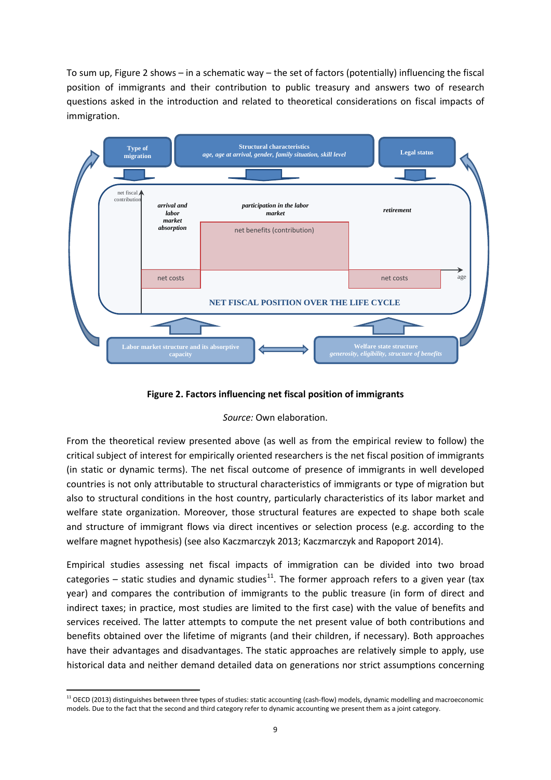To sum up, Figure 2 shows – in a schematic way – the set of factors (potentially) influencing the fiscal position of immigrants and their contribution to public treasury and answers two of research questions asked in the introduction and related to theoretical considerations on fiscal impacts of immigration.



**Figure 2. Factors influencing net fiscal position of immigrants**

### *Source:* Own elaboration.

From the theoretical review presented above (as well as from the empirical review to follow) the critical subject of interest for empirically oriented researchers is the net fiscal position of immigrants (in static or dynamic terms). The net fiscal outcome of presence of immigrants in well developed countries is not only attributable to structural characteristics of immigrants or type of migration but also to structural conditions in the host country, particularly characteristics of its labor market and welfare state organization. Moreover, those structural features are expected to shape both scale and structure of immigrant flows via direct incentives or selection process (e.g. according to the welfare magnet hypothesis) (see also Kaczmarczyk 2013; Kaczmarczyk and Rapoport 2014).

Empirical studies assessing net fiscal impacts of immigration can be divided into two broad categories – static studies and dynamic studies<sup>[11](#page-9-2)</sup>. The former approach refers to a given year (tax year) and compares the contribution of immigrants to the public treasure (in form of direct and indirect taxes; in practice, most studies are limited to the first case) with the value of benefits and services received. The latter attempts to compute the net present value of both contributions and benefits obtained over the lifetime of migrants (and their children, if necessary). Both approaches have their advantages and disadvantages. The static approaches are relatively simple to apply, use historical data and neither demand detailed data on generations nor strict assumptions concerning

<span id="page-10-0"></span> $11$  OECD (2013) distinguishes between three types of studies: static accounting (cash-flow) models, dynamic modelling and macroeconomic models. Due to the fact that the second and third category refer to dynamic accounting we present them as a joint category.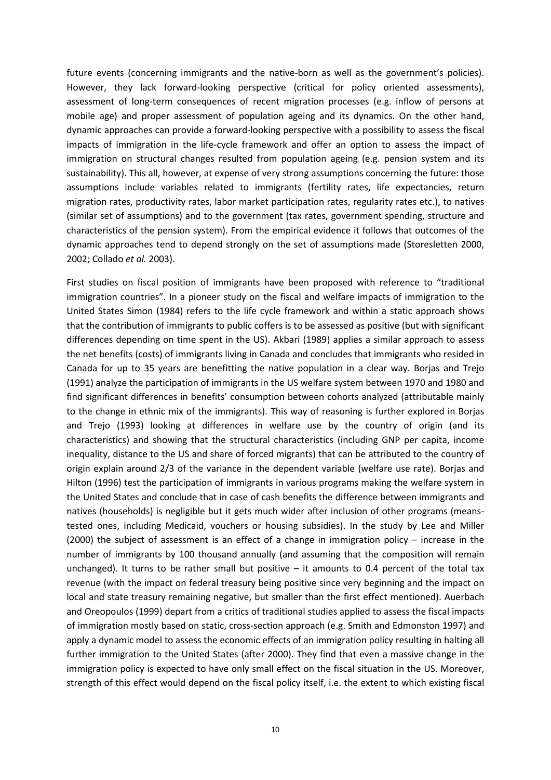future events (concerning immigrants and the native-born as well as the government's policies). However, they lack forward-looking perspective (critical for policy oriented assessments), assessment of long-term consequences of recent migration processes (e.g. inflow of persons at mobile age) and proper assessment of population ageing and its dynamics. On the other hand, dynamic approaches can provide a forward-looking perspective with a possibility to assess the fiscal impacts of immigration in the life-cycle framework and offer an option to assess the impact of immigration on structural changes resulted from population ageing (e.g. pension system and its sustainability). This all, however, at expense of very strong assumptions concerning the future: those assumptions include variables related to immigrants (fertility rates, life expectancies, return migration rates, productivity rates, labor market participation rates, regularity rates etc.), to natives (similar set of assumptions) and to the government (tax rates, government spending, structure and characteristics of the pension system). From the empirical evidence it follows that outcomes of the dynamic approaches tend to depend strongly on the set of assumptions made (Storesletten 2000, 2002; Collado *et al.* 2003).

First studies on fiscal position of immigrants have been proposed with reference to "traditional immigration countries". In a pioneer study on the fiscal and welfare impacts of immigration to the United States Simon (1984) refers to the life cycle framework and within a static approach shows that the contribution of immigrants to public coffers is to be assessed as positive (but with significant differences depending on time spent in the US). Akbari (1989) applies a similar approach to assess the net benefits (costs) of immigrants living in Canada and concludes that immigrants who resided in Canada for up to 35 years are benefitting the native population in a clear way. Borjas and Trejo (1991) analyze the participation of immigrants in the US welfare system between 1970 and 1980 and find significant differences in benefits' consumption between cohorts analyzed (attributable mainly to the change in ethnic mix of the immigrants). This way of reasoning is further explored in Borjas and Trejo (1993) looking at differences in welfare use by the country of origin (and its characteristics) and showing that the structural characteristics (including GNP per capita, income inequality, distance to the US and share of forced migrants) that can be attributed to the country of origin explain around 2/3 of the variance in the dependent variable (welfare use rate). Borjas and Hilton (1996) test the participation of immigrants in various programs making the welfare system in the United States and conclude that in case of cash benefits the difference between immigrants and natives (households) is negligible but it gets much wider after inclusion of other programs (meanstested ones, including Medicaid, vouchers or housing subsidies). In the study by Lee and Miller (2000) the subject of assessment is an effect of a change in immigration policy – increase in the number of immigrants by 100 thousand annually (and assuming that the composition will remain unchanged). It turns to be rather small but positive  $-$  it amounts to 0.4 percent of the total tax revenue (with the impact on federal treasury being positive since very beginning and the impact on local and state treasury remaining negative, but smaller than the first effect mentioned). Auerbach and Oreopoulos (1999) depart from a critics of traditional studies applied to assess the fiscal impacts of immigration mostly based on static, cross-section approach (e.g. Smith and Edmonston 1997) and apply a dynamic model to assess the economic effects of an immigration policy resulting in halting all further immigration to the United States (after 2000). They find that even a massive change in the immigration policy is expected to have only small effect on the fiscal situation in the US. Moreover, strength of this effect would depend on the fiscal policy itself, i.e. the extent to which existing fiscal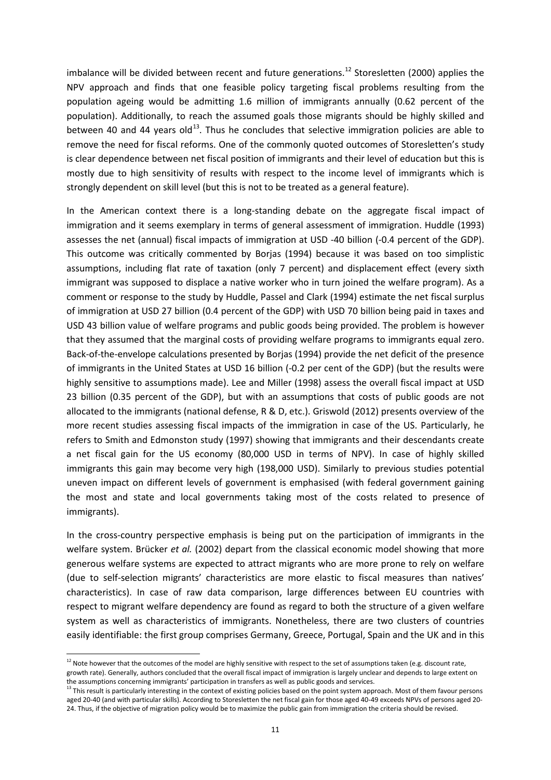imbalance will be divided between recent and future generations.<sup>[12](#page-10-0)</sup> Storesletten (2000) applies the NPV approach and finds that one feasible policy targeting fiscal problems resulting from the population ageing would be admitting 1.6 million of immigrants annually (0.62 percent of the population). Additionally, to reach the assumed goals those migrants should be highly skilled and between 40 and 44 years old<sup>[13](#page-12-0)</sup>. Thus he concludes that selective immigration policies are able to remove the need for fiscal reforms. One of the commonly quoted outcomes of Storesletten's study is clear dependence between net fiscal position of immigrants and their level of education but this is mostly due to high sensitivity of results with respect to the income level of immigrants which is strongly dependent on skill level (but this is not to be treated as a general feature).

In the American context there is a long-standing debate on the aggregate fiscal impact of immigration and it seems exemplary in terms of general assessment of immigration. Huddle (1993) assesses the net (annual) fiscal impacts of immigration at USD -40 billion (-0.4 percent of the GDP). This outcome was critically commented by Borjas (1994) because it was based on too simplistic assumptions, including flat rate of taxation (only 7 percent) and displacement effect (every sixth immigrant was supposed to displace a native worker who in turn joined the welfare program). As a comment or response to the study by Huddle, Passel and Clark (1994) estimate the net fiscal surplus of immigration at USD 27 billion (0.4 percent of the GDP) with USD 70 billion being paid in taxes and USD 43 billion value of welfare programs and public goods being provided. The problem is however that they assumed that the marginal costs of providing welfare programs to immigrants equal zero. Back-of-the-envelope calculations presented by Borjas (1994) provide the net deficit of the presence of immigrants in the United States at USD 16 billion (-0.2 per cent of the GDP) (but the results were highly sensitive to assumptions made). Lee and Miller (1998) assess the overall fiscal impact at USD 23 billion (0.35 percent of the GDP), but with an assumptions that costs of public goods are not allocated to the immigrants (national defense, R & D, etc.). Griswold (2012) presents overview of the more recent studies assessing fiscal impacts of the immigration in case of the US. Particularly, he refers to Smith and Edmonston study (1997) showing that immigrants and their descendants create a net fiscal gain for the US economy (80,000 USD in terms of NPV). In case of highly skilled immigrants this gain may become very high (198,000 USD). Similarly to previous studies potential uneven impact on different levels of government is emphasised (with federal government gaining the most and state and local governments taking most of the costs related to presence of immigrants).

<span id="page-12-1"></span>In the cross-country perspective emphasis is being put on the participation of immigrants in the welfare system. Brücker *et al.* (2002) depart from the classical economic model showing that more generous welfare systems are expected to attract migrants who are more prone to rely on welfare (due to self-selection migrants' characteristics are more elastic to fiscal measures than natives' characteristics). In case of raw data comparison, large differences between EU countries with respect to migrant welfare dependency are found as regard to both the structure of a given welfare system as well as characteristics of immigrants. Nonetheless, there are two clusters of countries easily identifiable: the first group comprises Germany, Greece, Portugal, Spain and the UK and in this

 $12$  Note however that the outcomes of the model are highly sensitive with respect to the set of assumptions taken (e.g. discount rate, growth rate). Generally, authors concluded that the overall fiscal impact of immigration is largely unclear and depends to large extent on the assumptions concerning immigrants' participation in transfers as well as public goods and services.

<span id="page-12-0"></span><sup>&</sup>lt;sup>13</sup> This result is particularly interesting in the context of existing policies based on the point system approach. Most of them favour persons aged 20-40 (and with particular skills). According to Storesletten the net fiscal gain for those aged 40-49 exceeds NPVs of persons aged 20- 24. Thus, if the objective of migration policy would be to maximize the public gain from immigration the criteria should be revised.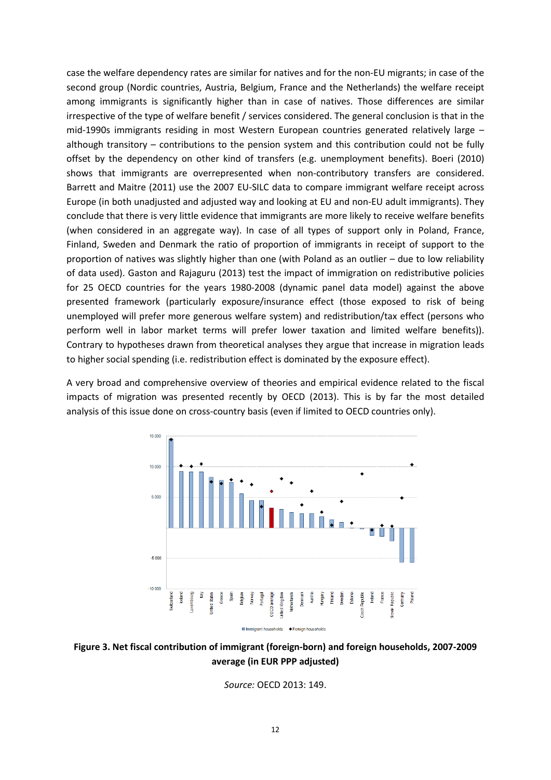case the welfare dependency rates are similar for natives and for the non-EU migrants; in case of the second group (Nordic countries, Austria, Belgium, France and the Netherlands) the welfare receipt among immigrants is significantly higher than in case of natives. Those differences are similar irrespective of the type of welfare benefit / services considered. The general conclusion is that in the mid-1990s immigrants residing in most Western European countries generated relatively large – although transitory – contributions to the pension system and this contribution could not be fully offset by the dependency on other kind of transfers (e.g. unemployment benefits). Boeri (2010) shows that immigrants are overrepresented when non-contributory transfers are considered. Barrett and Maitre (2011) use the 2007 EU-SILC data to compare immigrant welfare receipt across Europe (in both unadjusted and adjusted way and looking at EU and non-EU adult immigrants). They conclude that there is very little evidence that immigrants are more likely to receive welfare benefits (when considered in an aggregate way). In case of all types of support only in Poland, France, Finland, Sweden and Denmark the ratio of proportion of immigrants in receipt of support to the proportion of natives was slightly higher than one (with Poland as an outlier – due to low reliability of data used). Gaston and Rajaguru (2013) test the impact of immigration on redistributive policies for 25 OECD countries for the years 1980-2008 (dynamic panel data model) against the above presented framework (particularly exposure/insurance effect (those exposed to risk of being unemployed will prefer more generous welfare system) and redistribution/tax effect (persons who perform well in labor market terms will prefer lower taxation and limited welfare benefits)). Contrary to hypotheses drawn from theoretical analyses they argue that increase in migration leads to higher social spending (i.e. redistribution effect is dominated by the exposure effect).

A very broad and comprehensive overview of theories and empirical evidence related to the fiscal impacts of migration was presented recently by OECD (2013). This is by far the most detailed analysis of this issue done on cross-country basis (even if limited to OECD countries only).



**Figure 3. Net fiscal contribution of immigrant (foreign-born) and foreign households, 2007-2009 average (in EUR PPP adjusted)**

*Source:* OECD 2013: 149.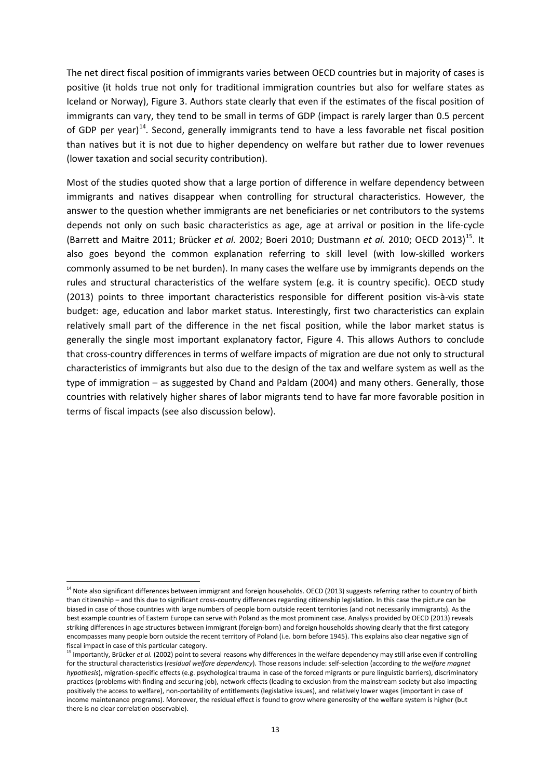The net direct fiscal position of immigrants varies between OECD countries but in majority of cases is positive (it holds true not only for traditional immigration countries but also for welfare states as Iceland or Norway), Figure 3. Authors state clearly that even if the estimates of the fiscal position of immigrants can vary, they tend to be small in terms of GDP (impact is rarely larger than 0.5 percent of GDP per year)<sup>[14](#page-12-1)</sup>. Second, generally immigrants tend to have a less favorable net fiscal position than natives but it is not due to higher dependency on welfare but rather due to lower revenues (lower taxation and social security contribution).

Most of the studies quoted show that a large portion of difference in welfare dependency between immigrants and natives disappear when controlling for structural characteristics. However, the answer to the question whether immigrants are net beneficiaries or net contributors to the systems depends not only on such basic characteristics as age, age at arrival or position in the life-cycle (Barrett and Maitre 2011; Brücker *et al.* 2002; Boeri 2010; Dustmann *et al.* 2010; OECD 2013)[15](#page-14-0). It also goes beyond the common explanation referring to skill level (with low-skilled workers commonly assumed to be net burden). In many cases the welfare use by immigrants depends on the rules and structural characteristics of the welfare system (e.g. it is country specific). OECD study (2013) points to three important characteristics responsible for different position vis-à-vis state budget: age, education and labor market status. Interestingly, first two characteristics can explain relatively small part of the difference in the net fiscal position, while the labor market status is generally the single most important explanatory factor, Figure 4. This allows Authors to conclude that cross-country differences in terms of welfare impacts of migration are due not only to structural characteristics of immigrants but also due to the design of the tax and welfare system as well as the type of immigration – as suggested by Chand and Paldam (2004) and many others. Generally, those countries with relatively higher shares of labor migrants tend to have far more favorable position in terms of fiscal impacts (see also discussion below).

<sup>&</sup>lt;sup>14</sup> Note also significant differences between immigrant and foreign households. OECD (2013) suggests referring rather to country of birth than citizenship – and this due to significant cross-country differences regarding citizenship legislation. In this case the picture can be biased in case of those countries with large numbers of people born outside recent territories (and not necessarily immigrants). As the best example countries of Eastern Europe can serve with Poland as the most prominent case. Analysis provided by OECD (2013) reveals striking differences in age structures between immigrant (foreign-born) and foreign households showing clearly that the first category encompasses many people born outside the recent territory of Poland (i.e. born before 1945). This explains also clear negative sign of fiscal impact in case of this particular category.

<span id="page-14-1"></span><span id="page-14-0"></span><sup>&</sup>lt;sup>15</sup> Importantly, Brücker *et al.* (2002) point to several reasons why differences in the welfare dependency may still arise even if controlling for the structural characteristics (*residual welfare dependency*). Those reasons include: self-selection (according to *the welfare magnet hypothesis*), migration-specific effects (e.g. psychological trauma in case of the forced migrants or pure linguistic barriers), discriminatory practices (problems with finding and securing job), network effects (leading to exclusion from the mainstream society but also impacting positively the access to welfare), non-portability of entitlements (legislative issues), and relatively lower wages (important in case of income maintenance programs). Moreover, the residual effect is found to grow where generosity of the welfare system is higher (but there is no clear correlation observable).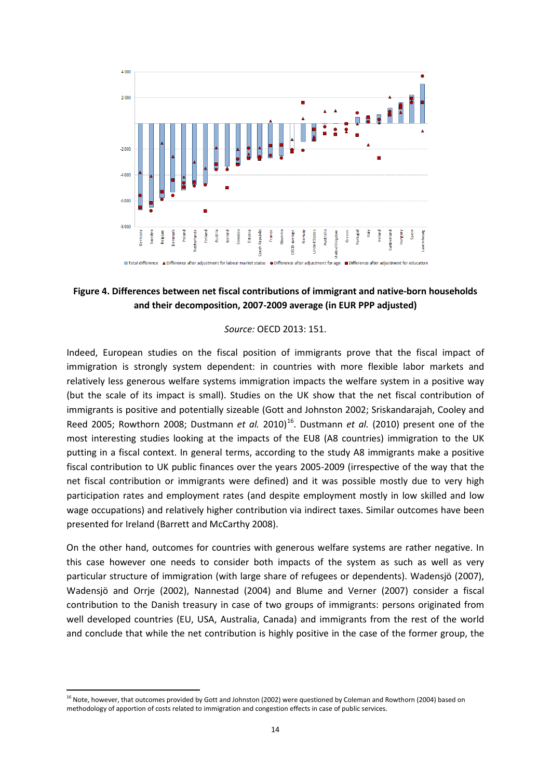

### **Figure 4. Differences between net fiscal contributions of immigrant and native-born households and their decomposition, 2007-2009 average (in EUR PPP adjusted)**

#### *Source:* OECD 2013: 151.

Indeed, European studies on the fiscal position of immigrants prove that the fiscal impact of immigration is strongly system dependent: in countries with more flexible labor markets and relatively less generous welfare systems immigration impacts the welfare system in a positive way (but the scale of its impact is small). Studies on the UK show that the net fiscal contribution of immigrants is positive and potentially sizeable (Gott and Johnston 2002; Sriskandarajah, Cooley and Reed 2005; Rowthorn 2008; Dustmann *et al.* 2010<sup>[16](#page-14-1)</sup>. Dustmann *et al.* (2010) present one of the most interesting studies looking at the impacts of the EU8 (A8 countries) immigration to the UK putting in a fiscal context. In general terms, according to the study A8 immigrants make a positive fiscal contribution to UK public finances over the years 2005-2009 (irrespective of the way that the net fiscal contribution or immigrants were defined) and it was possible mostly due to very high participation rates and employment rates (and despite employment mostly in low skilled and low wage occupations) and relatively higher contribution via indirect taxes. Similar outcomes have been presented for Ireland (Barrett and McCarthy 2008).

On the other hand, outcomes for countries with generous welfare systems are rather negative. In this case however one needs to consider both impacts of the system as such as well as very particular structure of immigration (with large share of refugees or dependents). Wadensjö (2007), Wadensjö and Orrje (2002), Nannestad (2004) and Blume and Verner (2007) consider a fiscal contribution to the Danish treasury in case of two groups of immigrants: persons originated from well developed countries (EU, USA, Australia, Canada) and immigrants from the rest of the world and conclude that while the net contribution is highly positive in the case of the former group, the

<span id="page-15-0"></span><sup>&</sup>lt;sup>16</sup> Note, however, that outcomes provided by Gott and Johnston (2002) were questioned by Coleman and Rowthorn (2004) based on methodology of apportion of costs related to immigration and congestion effects in case of public services.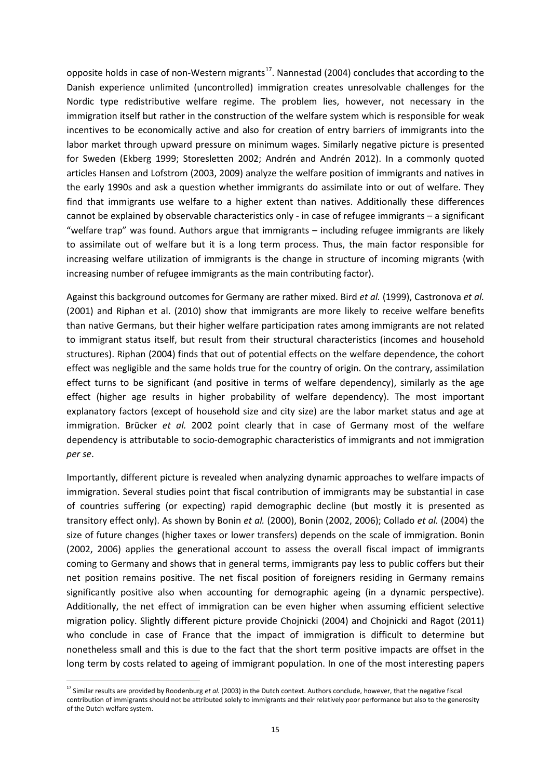opposite holds in case of non-Western migrants<sup>17</sup>. Nannestad (2004) concludes that according to the Danish experience unlimited (uncontrolled) immigration creates unresolvable challenges for the Nordic type redistributive welfare regime. The problem lies, however, not necessary in the immigration itself but rather in the construction of the welfare system which is responsible for weak incentives to be economically active and also for creation of entry barriers of immigrants into the labor market through upward pressure on minimum wages. Similarly negative picture is presented for Sweden (Ekberg 1999; Storesletten 2002; Andrén and Andrén 2012). In a commonly quoted articles Hansen and Lofstrom (2003, 2009) analyze the welfare position of immigrants and natives in the early 1990s and ask a question whether immigrants do assimilate into or out of welfare. They find that immigrants use welfare to a higher extent than natives. Additionally these differences cannot be explained by observable characteristics only - in case of refugee immigrants – a significant "welfare trap" was found. Authors argue that immigrants – including refugee immigrants are likely to assimilate out of welfare but it is a long term process. Thus, the main factor responsible for increasing welfare utilization of immigrants is the change in structure of incoming migrants (with increasing number of refugee immigrants as the main contributing factor).

Against this background outcomes for Germany are rather mixed. Bird *et al.* (1999), Castronova *et al.* (2001) and Riphan et al. (2010) show that immigrants are more likely to receive welfare benefits than native Germans, but their higher welfare participation rates among immigrants are not related to immigrant status itself, but result from their structural characteristics (incomes and household structures). Riphan (2004) finds that out of potential effects on the welfare dependence, the cohort effect was negligible and the same holds true for the country of origin. On the contrary, assimilation effect turns to be significant (and positive in terms of welfare dependency), similarly as the age effect (higher age results in higher probability of welfare dependency). The most important explanatory factors (except of household size and city size) are the labor market status and age at immigration. Brücker *et al.* 2002 point clearly that in case of Germany most of the welfare dependency is attributable to socio-demographic characteristics of immigrants and not immigration *per se*.

Importantly, different picture is revealed when analyzing dynamic approaches to welfare impacts of immigration. Several studies point that fiscal contribution of immigrants may be substantial in case of countries suffering (or expecting) rapid demographic decline (but mostly it is presented as transitory effect only). As shown by Bonin *et al.* (2000), Bonin (2002, 2006); Collado *et al.* (2004) the size of future changes (higher taxes or lower transfers) depends on the scale of immigration. Bonin (2002, 2006) applies the generational account to assess the overall fiscal impact of immigrants coming to Germany and shows that in general terms, immigrants pay less to public coffers but their net position remains positive. The net fiscal position of foreigners residing in Germany remains significantly positive also when accounting for demographic ageing (in a dynamic perspective). Additionally, the net effect of immigration can be even higher when assuming efficient selective migration policy. Slightly different picture provide Chojnicki (2004) and Chojnicki and Ragot (2011) who conclude in case of France that the impact of immigration is difficult to determine but nonetheless small and this is due to the fact that the short term positive impacts are offset in the long term by costs related to ageing of immigrant population. In one of the most interesting papers

<span id="page-16-0"></span><sup>&</sup>lt;sup>17</sup> Similar results are provided by Roodenburg *et al.* (2003) in the Dutch context. Authors conclude, however, that the negative fiscal contribution of immigrants should not be attributed solely to immigrants and their relatively poor performance but also to the generosity of the Dutch welfare system.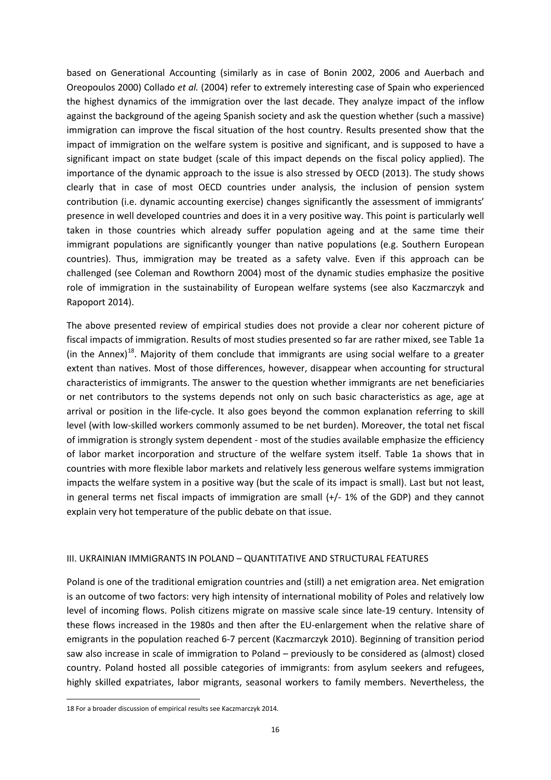based on Generational Accounting (similarly as in case of Bonin 2002, 2006 and Auerbach and Oreopoulos 2000) Collado *et al.* (2004) refer to extremely interesting case of Spain who experienced the highest dynamics of the immigration over the last decade. They analyze impact of the inflow against the background of the ageing Spanish society and ask the question whether (such a massive) immigration can improve the fiscal situation of the host country. Results presented show that the impact of immigration on the welfare system is positive and significant, and is supposed to have a significant impact on state budget (scale of this impact depends on the fiscal policy applied). The importance of the dynamic approach to the issue is also stressed by OECD (2013). The study shows clearly that in case of most OECD countries under analysis, the inclusion of pension system contribution (i.e. dynamic accounting exercise) changes significantly the assessment of immigrants' presence in well developed countries and does it in a very positive way. This point is particularly well taken in those countries which already suffer population ageing and at the same time their immigrant populations are significantly younger than native populations (e.g. Southern European countries). Thus, immigration may be treated as a safety valve. Even if this approach can be challenged (see Coleman and Rowthorn 2004) most of the dynamic studies emphasize the positive role of immigration in the sustainability of European welfare systems (see also Kaczmarczyk and Rapoport 2014).

The above presented review of empirical studies does not provide a clear nor coherent picture of fiscal impacts of immigration. Results of most studies presented so far are rather mixed, see Table 1a (in the Annex)<sup>[18](#page-16-0)</sup>. Majority of them conclude that immigrants are using social welfare to a greater extent than natives. Most of those differences, however, disappear when accounting for structural characteristics of immigrants. The answer to the question whether immigrants are net beneficiaries or net contributors to the systems depends not only on such basic characteristics as age, age at arrival or position in the life-cycle. It also goes beyond the common explanation referring to skill level (with low-skilled workers commonly assumed to be net burden). Moreover, the total net fiscal of immigration is strongly system dependent - most of the studies available emphasize the efficiency of labor market incorporation and structure of the welfare system itself. Table 1a shows that in countries with more flexible labor markets and relatively less generous welfare systems immigration impacts the welfare system in a positive way (but the scale of its impact is small). Last but not least, in general terms net fiscal impacts of immigration are small (+/- 1% of the GDP) and they cannot explain very hot temperature of the public debate on that issue.

#### III. UKRAINIAN IMMIGRANTS IN POLAND – QUANTITATIVE AND STRUCTURAL FEATURES

Poland is one of the traditional emigration countries and (still) a net emigration area. Net emigration is an outcome of two factors: very high intensity of international mobility of Poles and relatively low level of incoming flows. Polish citizens migrate on massive scale since late-19 century. Intensity of these flows increased in the 1980s and then after the EU-enlargement when the relative share of emigrants in the population reached 6-7 percent (Kaczmarczyk 2010). Beginning of transition period saw also increase in scale of immigration to Poland – previously to be considered as (almost) closed country. Poland hosted all possible categories of immigrants: from asylum seekers and refugees, highly skilled expatriates, labor migrants, seasonal workers to family members. Nevertheless, the

<span id="page-17-0"></span><sup>18</sup> For a broader discussion of empirical results see Kaczmarczyk 2014.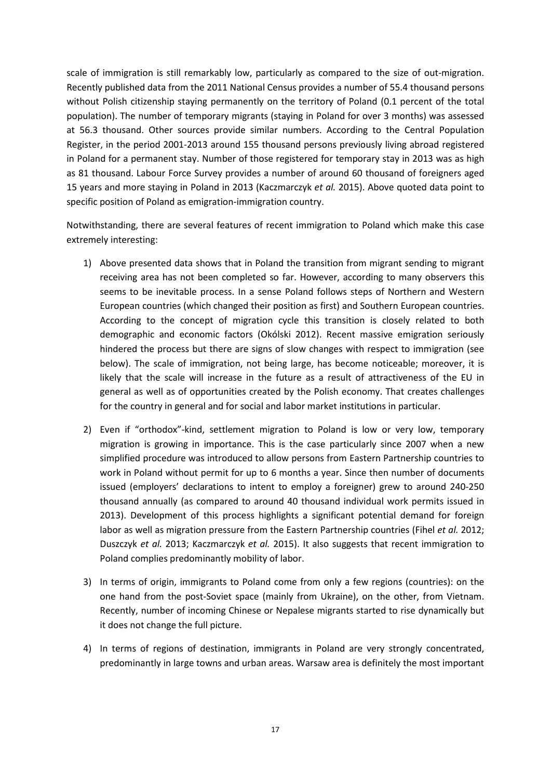scale of immigration is still remarkably low, particularly as compared to the size of out-migration. Recently published data from the 2011 National Census provides a number of 55.4 thousand persons without Polish citizenship staying permanently on the territory of Poland (0.1 percent of the total population). The number of temporary migrants (staying in Poland for over 3 months) was assessed at 56.3 thousand. Other sources provide similar numbers. According to the Central Population Register, in the period 2001-2013 around 155 thousand persons previously living abroad registered in Poland for a permanent stay. Number of those registered for temporary stay in 2013 was as high as 81 thousand. Labour Force Survey provides a number of around 60 thousand of foreigners aged 15 years and more staying in Poland in 2013 (Kaczmarczyk *et al.* 2015). Above quoted data point to specific position of Poland as emigration-immigration country.

Notwithstanding, there are several features of recent immigration to Poland which make this case extremely interesting:

- 1) Above presented data shows that in Poland the transition from migrant sending to migrant receiving area has not been completed so far. However, according to many observers this seems to be inevitable process. In a sense Poland follows steps of Northern and Western European countries (which changed their position as first) and Southern European countries. According to the concept of migration cycle this transition is closely related to both demographic and economic factors (Okólski 2012). Recent massive emigration seriously hindered the process but there are signs of slow changes with respect to immigration (see below). The scale of immigration, not being large, has become noticeable; moreover, it is likely that the scale will increase in the future as a result of attractiveness of the EU in general as well as of opportunities created by the Polish economy. That creates challenges for the country in general and for social and labor market institutions in particular.
- 2) Even if "orthodox"-kind, settlement migration to Poland is low or very low, temporary migration is growing in importance. This is the case particularly since 2007 when a new simplified procedure was introduced to allow persons from Eastern Partnership countries to work in Poland without permit for up to 6 months a year. Since then number of documents issued (employers' declarations to intent to employ a foreigner) grew to around 240-250 thousand annually (as compared to around 40 thousand individual work permits issued in 2013). Development of this process highlights a significant potential demand for foreign labor as well as migration pressure from the Eastern Partnership countries (Fihel *et al.* 2012; Duszczyk *et al.* 2013; Kaczmarczyk *et al.* 2015). It also suggests that recent immigration to Poland complies predominantly mobility of labor.
- 3) In terms of origin, immigrants to Poland come from only a few regions (countries): on the one hand from the post-Soviet space (mainly from Ukraine), on the other, from Vietnam. Recently, number of incoming Chinese or Nepalese migrants started to rise dynamically but it does not change the full picture.
- 4) In terms of regions of destination, immigrants in Poland are very strongly concentrated, predominantly in large towns and urban areas. Warsaw area is definitely the most important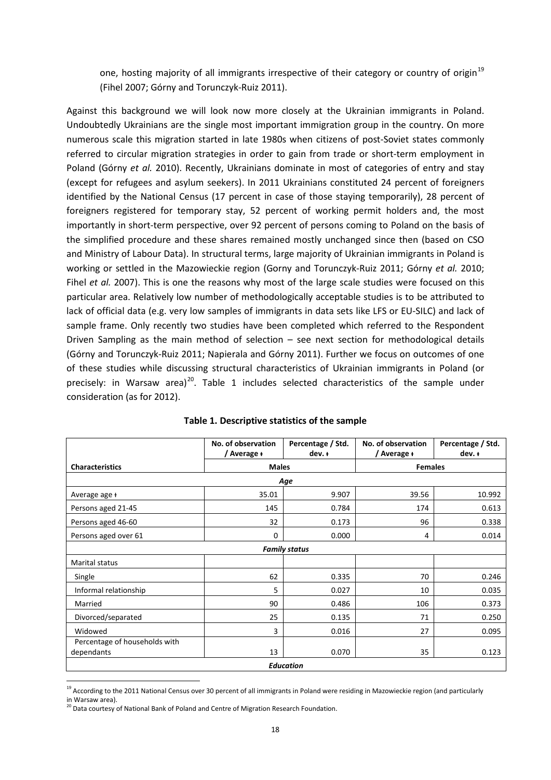one, hosting majority of all immigrants irrespective of their category or country of origin<sup>[19](#page-17-0)</sup> (Fihel 2007; Górny and Torunczyk-Ruiz 2011).

Against this background we will look now more closely at the Ukrainian immigrants in Poland. Undoubtedly Ukrainians are the single most important immigration group in the country. On more numerous scale this migration started in late 1980s when citizens of post-Soviet states commonly referred to circular migration strategies in order to gain from trade or short-term employment in Poland (Górny *et al.* 2010). Recently, Ukrainians dominate in most of categories of entry and stay (except for refugees and asylum seekers). In 2011 Ukrainians constituted 24 percent of foreigners identified by the National Census (17 percent in case of those staying temporarily), 28 percent of foreigners registered for temporary stay, 52 percent of working permit holders and, the most importantly in short-term perspective, over 92 percent of persons coming to Poland on the basis of the simplified procedure and these shares remained mostly unchanged since then (based on CSO and Ministry of Labour Data). In structural terms, large majority of Ukrainian immigrants in Poland is working or settled in the Mazowieckie region (Gorny and Torunczyk-Ruiz 2011; Górny *et al.* 2010; Fihel *et al.* 2007). This is one the reasons why most of the large scale studies were focused on this particular area. Relatively low number of methodologically acceptable studies is to be attributed to lack of official data (e.g. very low samples of immigrants in data sets like LFS or EU-SILC) and lack of sample frame. Only recently two studies have been completed which referred to the Respondent Driven Sampling as the main method of selection – see next section for methodological details (Górny and Torunczyk-Ruiz 2011; Napierala and Górny 2011). Further we focus on outcomes of one of these studies while discussing structural characteristics of Ukrainian immigrants in Poland (or precisely: in Warsaw area)<sup>20</sup>. Table 1 includes selected characteristics of the sample under consideration (as for 2012).

|                                             | No. of observation<br>/ Average + | Percentage / Std.<br>$dev. +$ | No. of observation<br>/ Average + | Percentage / Std.<br>$dev. +$ |  |
|---------------------------------------------|-----------------------------------|-------------------------------|-----------------------------------|-------------------------------|--|
| <b>Characteristics</b>                      |                                   | <b>Males</b>                  |                                   | <b>Females</b>                |  |
| Age                                         |                                   |                               |                                   |                               |  |
| Average age +                               | 35.01                             | 9.907                         | 39.56                             | 10.992                        |  |
| Persons aged 21-45                          | 145                               | 0.784                         | 174                               | 0.613                         |  |
| Persons aged 46-60                          | 32                                | 0.173                         | 96                                | 0.338                         |  |
| Persons aged over 61                        | $\mathbf 0$                       | 0.000                         | 4                                 | 0.014                         |  |
|                                             |                                   | <b>Family status</b>          |                                   |                               |  |
| Marital status                              |                                   |                               |                                   |                               |  |
| Single                                      | 62                                | 0.335                         | 70                                | 0.246                         |  |
| Informal relationship                       | 5                                 | 0.027                         | 10                                | 0.035                         |  |
| Married                                     | 90                                | 0.486                         | 106                               | 0.373                         |  |
| Divorced/separated                          | 25                                | 0.135                         | 71                                | 0.250                         |  |
| Widowed                                     | 3                                 | 0.016                         | 27                                | 0.095                         |  |
| Percentage of households with<br>dependants | 13                                | 0.070                         | 35                                | 0.123                         |  |
| Education                                   |                                   |                               |                                   |                               |  |

|  | Table 1. Descriptive statistics of the sample |  |  |  |
|--|-----------------------------------------------|--|--|--|
|--|-----------------------------------------------|--|--|--|

<span id="page-19-1"></span><sup>&</sup>lt;sup>19</sup> According to the 2011 National Census over 30 percent of all immigrants in Poland were residing in Mazowieckie region (and particularly in Warsaw area).

<span id="page-19-0"></span><sup>&</sup>lt;sup>20</sup> Data courtesy of National Bank of Poland and Centre of Migration Research Foundation.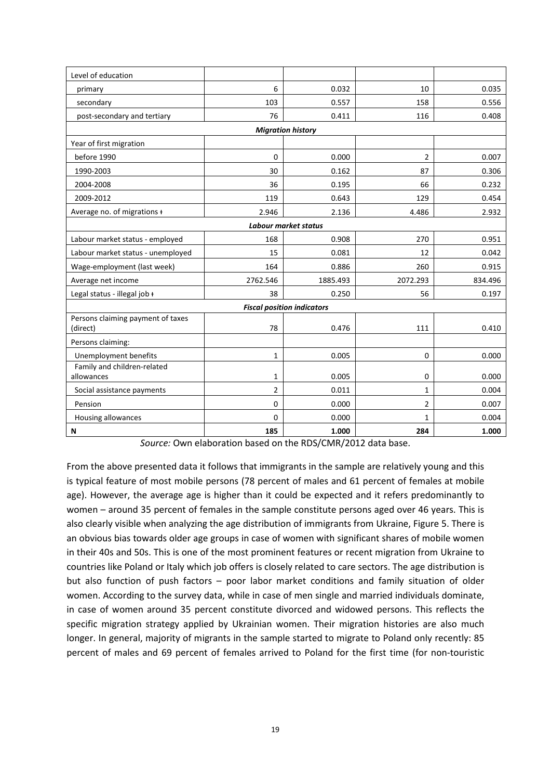| Level of education                                   |          |                          |                |         |  |
|------------------------------------------------------|----------|--------------------------|----------------|---------|--|
| primary                                              | 6        | 0.032                    | 10             | 0.035   |  |
| secondary                                            | 103      | 0.557                    | 158            | 0.556   |  |
| post-secondary and tertiary                          | 76       | 0.411                    | 116            | 0.408   |  |
|                                                      |          | <b>Migration history</b> |                |         |  |
| Year of first migration                              |          |                          |                |         |  |
| before 1990                                          | $\Omega$ | 0.000                    | 2              | 0.007   |  |
| 1990-2003                                            | 30       | 0.162                    | 87             | 0.306   |  |
| 2004-2008                                            | 36       | 0.195                    | 66             | 0.232   |  |
| 2009-2012                                            | 119      | 0.643                    | 129            | 0.454   |  |
| Average no. of migrations +                          | 2.946    | 2.136                    | 4.486          | 2.932   |  |
|                                                      |          | Labour market status     |                |         |  |
| Labour market status - employed                      | 168      | 0.908                    | 270            | 0.951   |  |
| Labour market status - unemployed                    | 15       | 0.081                    | 12             | 0.042   |  |
| Wage-employment (last week)                          | 164      | 0.886                    | 260            | 0.915   |  |
| Average net income                                   | 2762.546 | 1885.493                 | 2072.293       | 834.496 |  |
| Legal status - illegal job +                         | 38       | 0.250                    | 56             | 0.197   |  |
| <b>Fiscal position indicators</b>                    |          |                          |                |         |  |
| Persons claiming payment of taxes                    |          |                          |                |         |  |
| (direct)                                             | 78       | 0.476                    | 111            | 0.410   |  |
| Persons claiming:                                    |          |                          |                |         |  |
| Unemployment benefits<br>Family and children-related | 1        | 0.005                    | 0              | 0.000   |  |
| allowances                                           | 1        | 0.005                    | 0              | 0.000   |  |
| Social assistance payments                           | 2        | 0.011                    | 1              | 0.004   |  |
| Pension                                              | $\Omega$ | 0.000                    | $\overline{2}$ | 0.007   |  |
| Housing allowances                                   | 0        | 0.000                    | $\mathbf{1}$   | 0.004   |  |
| Ν                                                    | 185      | 1.000                    | 284            | 1.000   |  |

*Source:* Own elaboration based on the RDS/CMR/2012 data base.

From the above presented data it follows that immigrants in the sample are relatively young and this is typical feature of most mobile persons (78 percent of males and 61 percent of females at mobile age). However, the average age is higher than it could be expected and it refers predominantly to women – around 35 percent of females in the sample constitute persons aged over 46 years. This is also clearly visible when analyzing the age distribution of immigrants from Ukraine, Figure 5. There is an obvious bias towards older age groups in case of women with significant shares of mobile women in their 40s and 50s. This is one of the most prominent features or recent migration from Ukraine to countries like Poland or Italy which job offers is closely related to care sectors. The age distribution is but also function of push factors – poor labor market conditions and family situation of older women. According to the survey data, while in case of men single and married individuals dominate, in case of women around 35 percent constitute divorced and widowed persons. This reflects the specific migration strategy applied by Ukrainian women. Their migration histories are also much longer. In general, majority of migrants in the sample started to migrate to Poland only recently: 85 percent of males and 69 percent of females arrived to Poland for the first time (for non-touristic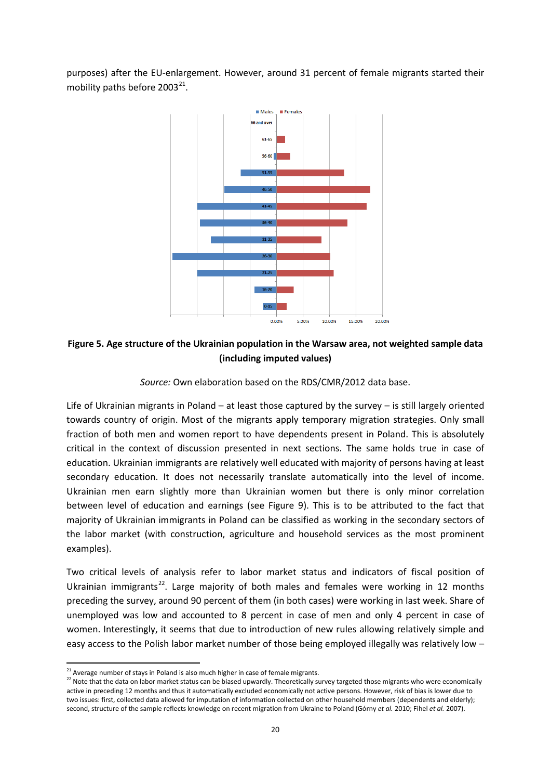purposes) after the EU-enlargement. However, around 31 percent of female migrants started their mobility paths before  $2003^{21}$  $2003^{21}$  $2003^{21}$ .



### **Figure 5. Age structure of the Ukrainian population in the Warsaw area, not weighted sample data (including imputed values)**

*Source:* Own elaboration based on the RDS/CMR/2012 data base.

Life of Ukrainian migrants in Poland – at least those captured by the survey – is still largely oriented towards country of origin. Most of the migrants apply temporary migration strategies. Only small fraction of both men and women report to have dependents present in Poland. This is absolutely critical in the context of discussion presented in next sections. The same holds true in case of education. Ukrainian immigrants are relatively well educated with majority of persons having at least secondary education. It does not necessarily translate automatically into the level of income. Ukrainian men earn slightly more than Ukrainian women but there is only minor correlation between level of education and earnings (see Figure 9). This is to be attributed to the fact that majority of Ukrainian immigrants in Poland can be classified as working in the secondary sectors of the labor market (with construction, agriculture and household services as the most prominent examples).

Two critical levels of analysis refer to labor market status and indicators of fiscal position of Ukrainian immigrants<sup>[22](#page-21-0)</sup>. Large majority of both males and females were working in 12 months preceding the survey, around 90 percent of them (in both cases) were working in last week. Share of unemployed was low and accounted to 8 percent in case of men and only 4 percent in case of women. Interestingly, it seems that due to introduction of new rules allowing relatively simple and easy access to the Polish labor market number of those being employed illegally was relatively low –

<span id="page-21-0"></span><sup>&</sup>lt;sup>21</sup> Average number of stays in Poland is also much higher in case of female migrants.<br><sup>22</sup> Note that the data on labor market status can be biased upwardly. Theoretically survey targeted those migrants who were economica active in preceding 12 months and thus it automatically excluded economically not active persons. However, risk of bias is lower due to two issues: first, collected data allowed for imputation of information collected on other household members (dependents and elderly); second, structure of the sample reflects knowledge on recent migration from Ukraine to Poland (Górny *et al.* 2010; Fihel *et al.* 2007).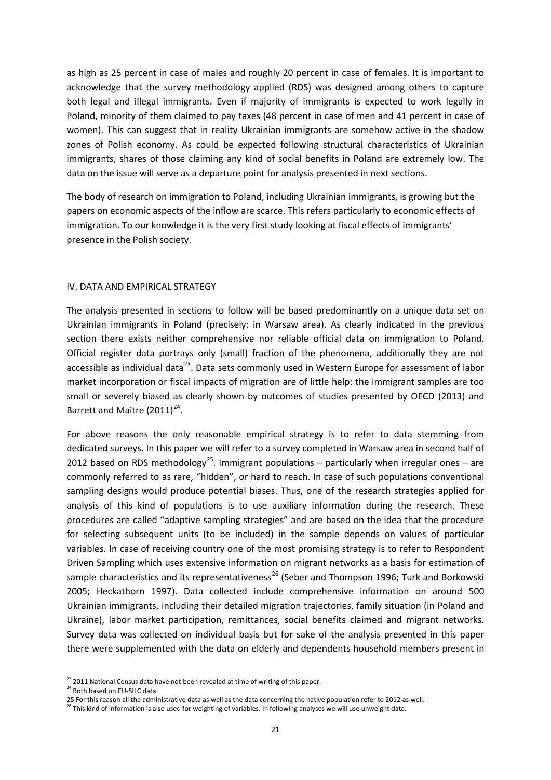as high as 25 percent in case of males and roughly 20 percent in case of females. It is important to acknowledge that the survey methodology applied (RDS) was designed among others to capture both legal and illegal immigrants. Even if majority of immigrants is expected to work legally in Poland, minority of them claimed to pay taxes (48 percent in case of men and 41 percent in case of women). This can suggest that in reality Ukrainian immigrants are somehow active in the shadow zones of Polish economy. As could be expected following structural characteristics of Ukrainian immigrants, shares of those claiming any kind of social benefits in Poland are extremely low. The data on the issue will serve as a departure point for analysis presented in next sections.

The body of research on immigration to Poland, including Ukrainian immigrants, is growing but the papers on economic aspects of the inflow are scarce. This refers particularly to economic effects of immigration. To our knowledge it is the very first study looking at fiscal effects of immigrants' presence in the Polish society.

#### IV. DATA AND EMPIRICAL STRATEGY

The analysis presented in sections to follow will be based predominantly on a unique data set on Ukrainian immigrants in Poland (precisely: in Warsaw area). As clearly indicated in the previous section there exists neither comprehensive nor reliable official data on immigration to Poland. Official register data portrays only (small) fraction of the phenomena, additionally they are not accessible as individual data $^{23}$  $^{23}$  $^{23}$ . Data sets commonly used in Western Europe for assessment of labor market incorporation or fiscal impacts of migration are of little help: the immigrant samples are too small or severely biased as clearly shown by outcomes of studies presented by OECD (2013) and Barrett and Maitre  $(2011)^{24}$ .

For above reasons the only reasonable empirical strategy is to refer to data stemming from dedicated surveys. In this paper we will refer to a survey completed in Warsaw area in second half of 2012 based on RDS methodology<sup>25</sup>. Immigrant populations – particularly when irregular ones – are commonly referred to as rare, "hidden", or hard to reach. In case of such populations conventional sampling designs would produce potential biases. Thus, one of the research strategies applied for analysis of this kind of populations is to use auxiliary information during the research. These procedures are called "adaptive sampling strategies" and are based on the idea that the procedure for selecting subsequent units (to be included) in the sample depends on values of particular variables. In case of receiving country one of the most promising strategy is to refer to Respondent Driven Sampling which uses extensive information on migrant networks as a basis for estimation of sample characteristics and its representativeness<sup>[26](#page-22-2)</sup> (Seber and Thompson 1996; Turk and Borkowski 2005; Heckathorn 1997). Data collected include comprehensive information on around 500 Ukrainian immigrants, including their detailed migration trajectories, family situation (in Poland and Ukraine), labor market participation, remittances, social benefits claimed and migrant networks. Survey data was collected on individual basis but for sake of the analysis presented in this paper there were supplemented with the data on elderly and dependents household members present in

 $\overline{\phantom{a}}$ 

 $^{23}$  2011 National Census data have not been revealed at time of writing of this paper.<br><sup>24</sup> Both based on EU-SILC data.

<span id="page-22-0"></span>

<span id="page-22-2"></span><span id="page-22-1"></span><sup>25</sup> For this reason all the administrative data as well as the data concerning the native population refer to 2012 as well.<br><sup>26</sup> This kind of information is also used for weighting of variables. In following analyses we wil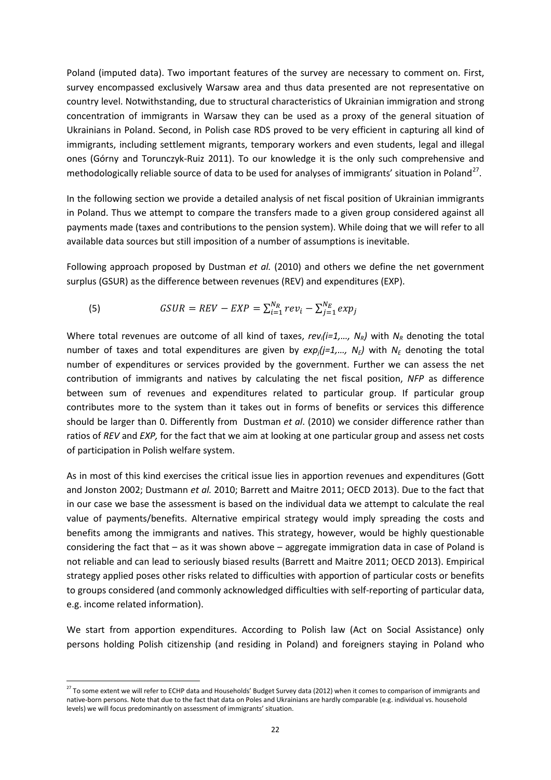Poland (imputed data). Two important features of the survey are necessary to comment on. First, survey encompassed exclusively Warsaw area and thus data presented are not representative on country level. Notwithstanding, due to structural characteristics of Ukrainian immigration and strong concentration of immigrants in Warsaw they can be used as a proxy of the general situation of Ukrainians in Poland. Second, in Polish case RDS proved to be very efficient in capturing all kind of immigrants, including settlement migrants, temporary workers and even students, legal and illegal ones (Górny and Torunczyk-Ruiz 2011). To our knowledge it is the only such comprehensive and methodologically reliable source of data to be used for analyses of immigrants' situation in Poland<sup>27</sup>.

In the following section we provide a detailed analysis of net fiscal position of Ukrainian immigrants in Poland. Thus we attempt to compare the transfers made to a given group considered against all payments made (taxes and contributions to the pension system). While doing that we will refer to all available data sources but still imposition of a number of assumptions is inevitable.

Following approach proposed by Dustman *et al.* (2010) and others we define the net government surplus (GSUR) as the difference between revenues (REV) and expenditures (EXP).

(5) 
$$
GSUR = REV - EXP = \sum_{i=1}^{N_R} rev_i - \sum_{j=1}^{N_E} exp_j
$$

Where total revenues are outcome of all kind of taxes,  $rev_i(i=1,..., N_R)$  with  $N_R$  denoting the total number of taxes and total expenditures are given by  $exp_i(i=1,..., N_F)$  with  $N_F$  denoting the total number of expenditures or services provided by the government. Further we can assess the net contribution of immigrants and natives by calculating the net fiscal position, *NFP* as difference between sum of revenues and expenditures related to particular group. If particular group contributes more to the system than it takes out in forms of benefits or services this difference should be larger than 0. Differently from Dustman *et al*. (2010) we consider difference rather than ratios of *REV* and *EXP,* for the fact that we aim at looking at one particular group and assess net costs of participation in Polish welfare system.

As in most of this kind exercises the critical issue lies in apportion revenues and expenditures (Gott and Jonston 2002; Dustmann *et al.* 2010; Barrett and Maitre 2011; OECD 2013). Due to the fact that in our case we base the assessment is based on the individual data we attempt to calculate the real value of payments/benefits. Alternative empirical strategy would imply spreading the costs and benefits among the immigrants and natives. This strategy, however, would be highly questionable considering the fact that – as it was shown above – aggregate immigration data in case of Poland is not reliable and can lead to seriously biased results (Barrett and Maitre 2011; OECD 2013). Empirical strategy applied poses other risks related to difficulties with apportion of particular costs or benefits to groups considered (and commonly acknowledged difficulties with self-reporting of particular data, e.g. income related information).

We start from apportion expenditures. According to Polish law (Act on Social Assistance) only persons holding Polish citizenship (and residing in Poland) and foreigners staying in Poland who

<span id="page-23-0"></span><sup>&</sup>lt;sup>27</sup> To some extent we will refer to ECHP data and Households' Budget Survey data (2012) when it comes to comparison of immigrants and native-born persons. Note that due to the fact that data on Poles and Ukrainians are hardly comparable (e.g. individual vs. household levels) we will focus predominantly on assessment of immigrants' situation.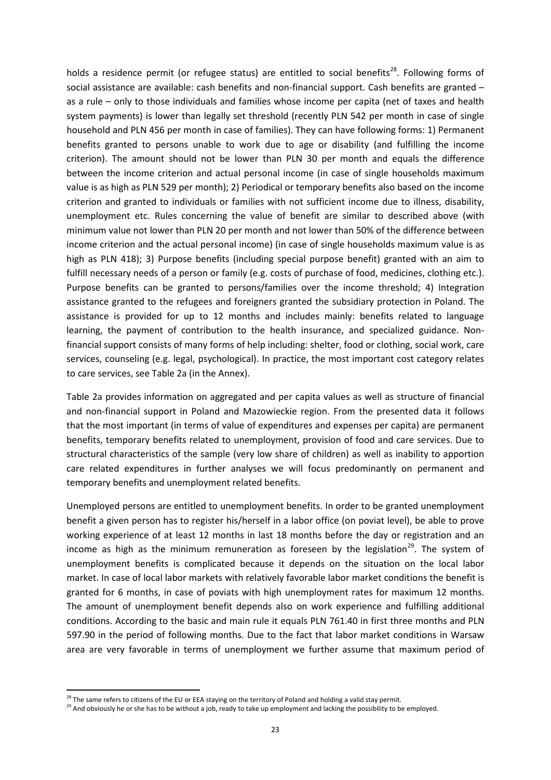holds a residence permit (or refugee status) are entitled to social benefits<sup>28</sup>. Following forms of social assistance are available: cash benefits and non-financial support. Cash benefits are granted – as a rule – only to those individuals and families whose income per capita (net of taxes and health system payments) is lower than legally set threshold (recently PLN 542 per month in case of single household and PLN 456 per month in case of families). They can have following forms: 1) Permanent benefits granted to persons unable to work due to age or disability (and fulfilling the income criterion). The amount should not be lower than PLN 30 per month and equals the difference between the income criterion and actual personal income (in case of single households maximum value is as high as PLN 529 per month); 2) Periodical or temporary benefits also based on the income criterion and granted to individuals or families with not sufficient income due to illness, disability, unemployment etc. Rules concerning the value of benefit are similar to described above (with minimum value not lower than PLN 20 per month and not lower than 50% of the difference between income criterion and the actual personal income) (in case of single households maximum value is as high as PLN 418); 3) Purpose benefits (including special purpose benefit) granted with an aim to fulfill necessary needs of a person or family (e.g. costs of purchase of food, medicines, clothing etc.). Purpose benefits can be granted to persons/families over the income threshold; 4) Integration assistance granted to the refugees and foreigners granted the subsidiary protection in Poland. The assistance is provided for up to 12 months and includes mainly: benefits related to language learning, the payment of contribution to the health insurance, and specialized guidance. Nonfinancial support consists of many forms of help including: shelter, food or clothing, social work, care services, counseling (e.g. legal, psychological). In practice, the most important cost category relates to care services, see Table 2a (in the Annex).

Table 2a provides information on aggregated and per capita values as well as structure of financial and non-financial support in Poland and Mazowieckie region. From the presented data it follows that the most important (in terms of value of expenditures and expenses per capita) are permanent benefits, temporary benefits related to unemployment, provision of food and care services. Due to structural characteristics of the sample (very low share of children) as well as inability to apportion care related expenditures in further analyses we will focus predominantly on permanent and temporary benefits and unemployment related benefits.

Unemployed persons are entitled to unemployment benefits. In order to be granted unemployment benefit a given person has to register his/herself in a labor office (on poviat level), be able to prove working experience of at least 12 months in last 18 months before the day or registration and an income as high as the minimum remuneration as foreseen by the legislation<sup>29</sup>. The system of unemployment benefits is complicated because it depends on the situation on the local labor market. In case of local labor markets with relatively favorable labor market conditions the benefit is granted for 6 months, in case of poviats with high unemployment rates for maximum 12 months. The amount of unemployment benefit depends also on work experience and fulfilling additional conditions. According to the basic and main rule it equals PLN 761.40 in first three months and PLN 597.90 in the period of following months. Due to the fact that labor market conditions in Warsaw area are very favorable in terms of unemployment we further assume that maximum period of

<span id="page-24-1"></span><span id="page-24-0"></span><sup>&</sup>lt;sup>28</sup> The same refers to citizens of the EU or EEA staying on the territory of Poland and holding a valid stay permit.<br><sup>29</sup> And obviously he or she has to be without a job, ready to take up employment and lacking the possi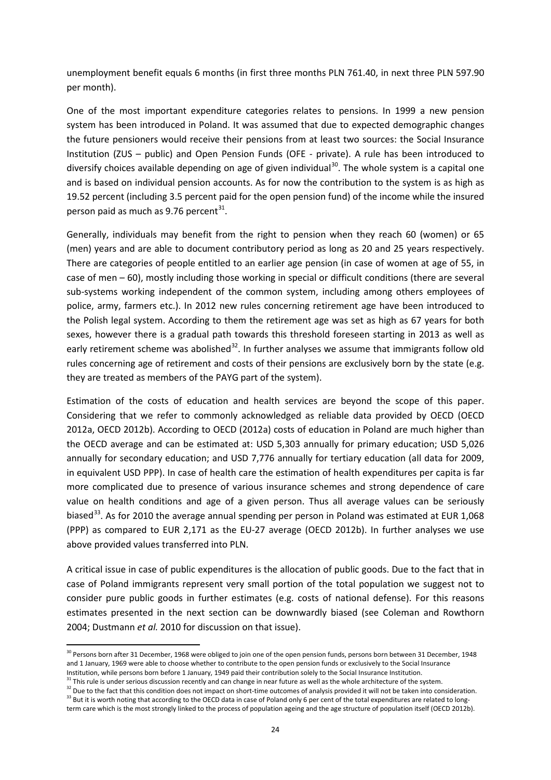unemployment benefit equals 6 months (in first three months PLN 761.40, in next three PLN 597.90 per month).

One of the most important expenditure categories relates to pensions. In 1999 a new pension system has been introduced in Poland. It was assumed that due to expected demographic changes the future pensioners would receive their pensions from at least two sources: the Social Insurance Institution (ZUS – public) and Open Pension Funds (OFE - private). A rule has been introduced to diversify choices available depending on age of given individual<sup>[30](#page-24-1)</sup>. The whole system is a capital one and is based on individual pension accounts. As for now the contribution to the system is as high as 19.52 percent (including 3.5 percent paid for the open pension fund) of the income while the insured person paid as much as 9.76 percent $^{31}$  $^{31}$  $^{31}$ .

Generally, individuals may benefit from the right to pension when they reach 60 (women) or 65 (men) years and are able to document contributory period as long as 20 and 25 years respectively. There are categories of people entitled to an earlier age pension (in case of women at age of 55, in case of men – 60), mostly including those working in special or difficult conditions (there are several sub-systems working independent of the common system, including among others employees of police, army, farmers etc.). In 2012 new rules concerning retirement age have been introduced to the Polish legal system. According to them the retirement age was set as high as 67 years for both sexes, however there is a gradual path towards this threshold foreseen starting in 2013 as well as early retirement scheme was abolished<sup>[32](#page-25-1)</sup>. In further analyses we assume that immigrants follow old rules concerning age of retirement and costs of their pensions are exclusively born by the state (e.g. they are treated as members of the PAYG part of the system).

Estimation of the costs of education and health services are beyond the scope of this paper. Considering that we refer to commonly acknowledged as reliable data provided by OECD (OECD 2012a, OECD 2012b). According to OECD (2012a) costs of education in Poland are much higher than the OECD average and can be estimated at: USD 5,303 annually for primary education; USD 5,026 annually for secondary education; and USD 7,776 annually for tertiary education (all data for 2009, in equivalent USD PPP). In case of health care the estimation of health expenditures per capita is far more complicated due to presence of various insurance schemes and strong dependence of care value on health conditions and age of a given person. Thus all average values can be seriously biased<sup>[33](#page-25-2)</sup>. As for 2010 the average annual spending per person in Poland was estimated at EUR 1,068 (PPP) as compared to EUR 2,171 as the EU-27 average (OECD 2012b). In further analyses we use above provided values transferred into PLN.

A critical issue in case of public expenditures is the allocation of public goods. Due to the fact that in case of Poland immigrants represent very small portion of the total population we suggest not to consider pure public goods in further estimates (e.g. costs of national defense). For this reasons estimates presented in the next section can be downwardly biased (see Coleman and Rowthorn 2004; Dustmann *et al.* 2010 for discussion on that issue).

 $\overline{\phantom{a}}$ 

<sup>&</sup>lt;sup>30</sup> Persons born after 31 December, 1968 were obliged to join one of the open pension funds, persons born between 31 December, 1948 and 1 January, 1969 were able to choose whether to contribute to the open pension funds or exclusively to the Social Insurance Institution, while persons born before 1 January, 1949 paid their contribution solely to the Social Insurance Institution.

 $31$  This rule is under serious discussion recently and can change in near future as well as the whole architecture of the system.

<span id="page-25-2"></span><span id="page-25-1"></span><span id="page-25-0"></span> $32$  Due to the fact that this condition does not impact on short-time outcomes of analysis provided it will not be taken into consideration.<br> $33$  But it is worth noting that according to the OECD data in case of Poland o term care which is the most strongly linked to the process of population ageing and the age structure of population itself (OECD 2012b).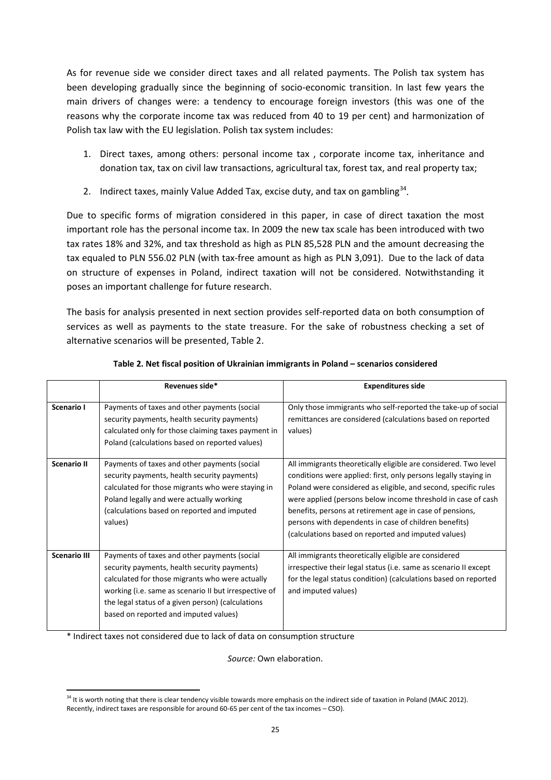As for revenue side we consider direct taxes and all related payments. The Polish tax system has been developing gradually since the beginning of socio-economic transition. In last few years the main drivers of changes were: a tendency to encourage foreign investors (this was one of the reasons why the corporate income tax was reduced from 40 to 19 per cent) and harmonization of Polish tax law with the EU legislation. Polish tax system includes:

- 1. Direct taxes, among others: personal income tax , corporate income tax, inheritance and donation tax, tax on civil law transactions, agricultural tax, forest tax, and real property tax;
- 2. Indirect taxes, mainly Value Added Tax, excise duty, and tax on gambling $34$ .

Due to specific forms of migration considered in this paper, in case of direct taxation the most important role has the personal income tax. In 2009 the new tax scale has been introduced with two tax rates 18% and 32%, and tax threshold as high as PLN 85,528 PLN and the amount decreasing the tax equaled to PLN 556.02 PLN (with tax-free amount as high as PLN 3,091). Due to the lack of data on structure of expenses in Poland, indirect taxation will not be considered. Notwithstanding it poses an important challenge for future research.

The basis for analysis presented in next section provides self-reported data on both consumption of services as well as payments to the state treasure. For the sake of robustness checking a set of alternative scenarios will be presented, Table 2.

|                     | Revenues side*                                                                                                                                                                                                                                                                                         | <b>Expenditures side</b>                                                                                                                                                                                                                                                                                                                                                                                                                         |
|---------------------|--------------------------------------------------------------------------------------------------------------------------------------------------------------------------------------------------------------------------------------------------------------------------------------------------------|--------------------------------------------------------------------------------------------------------------------------------------------------------------------------------------------------------------------------------------------------------------------------------------------------------------------------------------------------------------------------------------------------------------------------------------------------|
| Scenario I          | Payments of taxes and other payments (social<br>security payments, health security payments)<br>calculated only for those claiming taxes payment in<br>Poland (calculations based on reported values)                                                                                                  | Only those immigrants who self-reported the take-up of social<br>remittances are considered (calculations based on reported<br>values)                                                                                                                                                                                                                                                                                                           |
| <b>Scenario II</b>  | Payments of taxes and other payments (social<br>security payments, health security payments)<br>calculated for those migrants who were staying in<br>Poland legally and were actually working<br>(calculations based on reported and imputed<br>values)                                                | All immigrants theoretically eligible are considered. Two level<br>conditions were applied: first, only persons legally staying in<br>Poland were considered as eligible, and second, specific rules<br>were applied (persons below income threshold in case of cash<br>benefits, persons at retirement age in case of pensions,<br>persons with dependents in case of children benefits)<br>(calculations based on reported and imputed values) |
| <b>Scenario III</b> | Payments of taxes and other payments (social<br>security payments, health security payments)<br>calculated for those migrants who were actually<br>working (i.e. same as scenario II but irrespective of<br>the legal status of a given person) (calculations<br>based on reported and imputed values) | All immigrants theoretically eligible are considered<br>irrespective their legal status (i.e. same as scenario II except<br>for the legal status condition) (calculations based on reported<br>and imputed values)                                                                                                                                                                                                                               |

#### **Table 2. Net fiscal position of Ukrainian immigrants in Poland – scenarios considered**

\* Indirect taxes not considered due to lack of data on consumption structure

*Source:* Own elaboration.

<span id="page-26-0"></span><sup>&</sup>lt;sup>34</sup> It is worth noting that there is clear tendency visible towards more emphasis on the indirect side of taxation in Poland (MAiC 2012). Recently, indirect taxes are responsible for around 60-65 per cent of the tax incomes – CSO).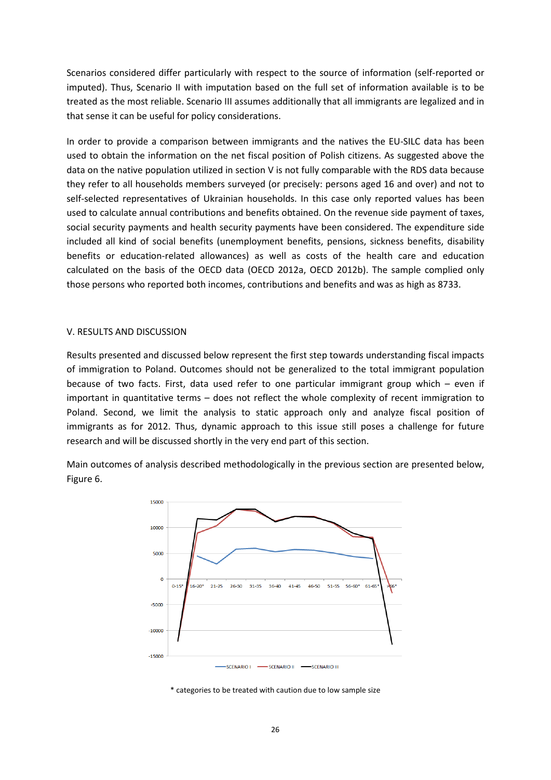Scenarios considered differ particularly with respect to the source of information (self-reported or imputed). Thus, Scenario II with imputation based on the full set of information available is to be treated as the most reliable. Scenario III assumes additionally that all immigrants are legalized and in that sense it can be useful for policy considerations.

In order to provide a comparison between immigrants and the natives the EU-SILC data has been used to obtain the information on the net fiscal position of Polish citizens. As suggested above the data on the native population utilized in section V is not fully comparable with the RDS data because they refer to all households members surveyed (or precisely: persons aged 16 and over) and not to self-selected representatives of Ukrainian households. In this case only reported values has been used to calculate annual contributions and benefits obtained. On the revenue side payment of taxes, social security payments and health security payments have been considered. The expenditure side included all kind of social benefits (unemployment benefits, pensions, sickness benefits, disability benefits or education-related allowances) as well as costs of the health care and education calculated on the basis of the OECD data (OECD 2012a, OECD 2012b). The sample complied only those persons who reported both incomes, contributions and benefits and was as high as 8733.

#### V. RESULTS AND DISCUSSION

Results presented and discussed below represent the first step towards understanding fiscal impacts of immigration to Poland. Outcomes should not be generalized to the total immigrant population because of two facts. First, data used refer to one particular immigrant group which – even if important in quantitative terms – does not reflect the whole complexity of recent immigration to Poland. Second, we limit the analysis to static approach only and analyze fiscal position of immigrants as for 2012. Thus, dynamic approach to this issue still poses a challenge for future research and will be discussed shortly in the very end part of this section.

Main outcomes of analysis described methodologically in the previous section are presented below, Figure 6.



\* categories to be treated with caution due to low sample size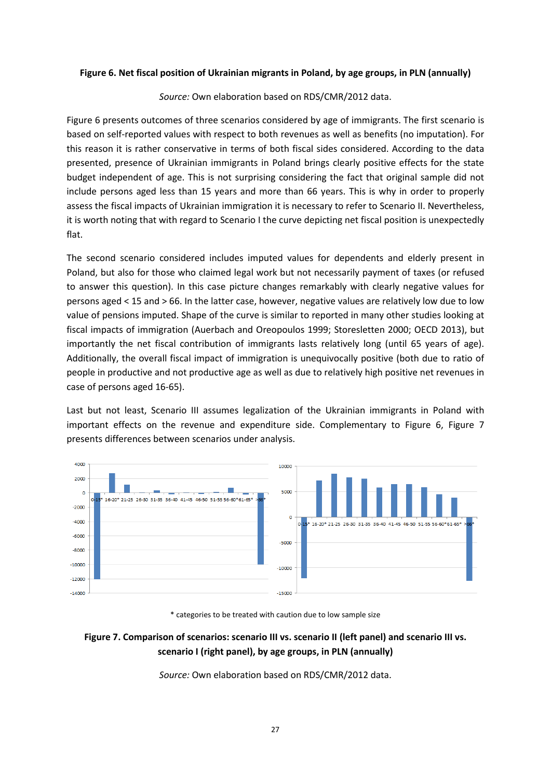#### **Figure 6. Net fiscal position of Ukrainian migrants in Poland, by age groups, in PLN (annually)**

*Source:* Own elaboration based on RDS/CMR/2012 data.

Figure 6 presents outcomes of three scenarios considered by age of immigrants. The first scenario is based on self-reported values with respect to both revenues as well as benefits (no imputation). For this reason it is rather conservative in terms of both fiscal sides considered. According to the data presented, presence of Ukrainian immigrants in Poland brings clearly positive effects for the state budget independent of age. This is not surprising considering the fact that original sample did not include persons aged less than 15 years and more than 66 years. This is why in order to properly assess the fiscal impacts of Ukrainian immigration it is necessary to refer to Scenario II. Nevertheless, it is worth noting that with regard to Scenario I the curve depicting net fiscal position is unexpectedly flat.

The second scenario considered includes imputed values for dependents and elderly present in Poland, but also for those who claimed legal work but not necessarily payment of taxes (or refused to answer this question). In this case picture changes remarkably with clearly negative values for persons aged < 15 and > 66. In the latter case, however, negative values are relatively low due to low value of pensions imputed. Shape of the curve is similar to reported in many other studies looking at fiscal impacts of immigration (Auerbach and Oreopoulos 1999; Storesletten 2000; OECD 2013), but importantly the net fiscal contribution of immigrants lasts relatively long (until 65 years of age). Additionally, the overall fiscal impact of immigration is unequivocally positive (both due to ratio of people in productive and not productive age as well as due to relatively high positive net revenues in case of persons aged 16-65).

Last but not least, Scenario III assumes legalization of the Ukrainian immigrants in Poland with important effects on the revenue and expenditure side. Complementary to Figure 6, Figure 7 presents differences between scenarios under analysis.



\* categories to be treated with caution due to low sample size

### **Figure 7. Comparison of scenarios: scenario III vs. scenario II (left panel) and scenario III vs. scenario I (right panel), by age groups, in PLN (annually)**

*Source:* Own elaboration based on RDS/CMR/2012 data.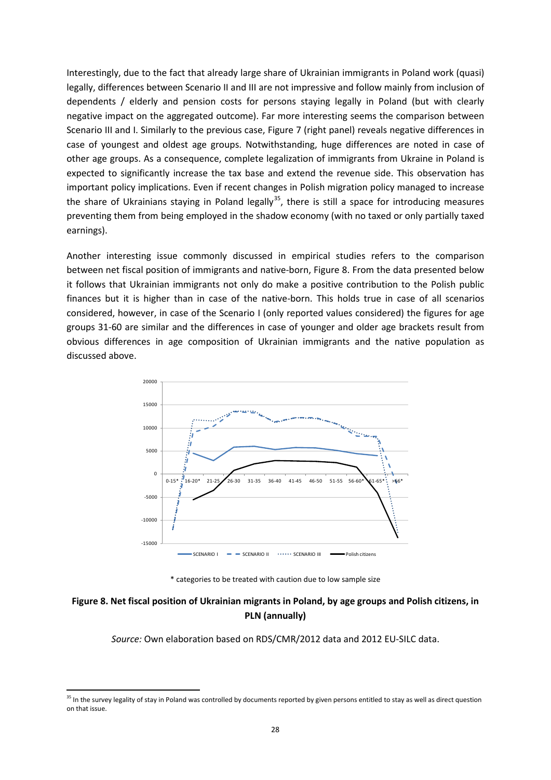Interestingly, due to the fact that already large share of Ukrainian immigrants in Poland work (quasi) legally, differences between Scenario II and III are not impressive and follow mainly from inclusion of dependents / elderly and pension costs for persons staying legally in Poland (but with clearly negative impact on the aggregated outcome). Far more interesting seems the comparison between Scenario III and I. Similarly to the previous case, Figure 7 (right panel) reveals negative differences in case of youngest and oldest age groups. Notwithstanding, huge differences are noted in case of other age groups. As a consequence, complete legalization of immigrants from Ukraine in Poland is expected to significantly increase the tax base and extend the revenue side. This observation has important policy implications. Even if recent changes in Polish migration policy managed to increase the share of Ukrainians staying in Poland legally<sup>[35](#page-26-0)</sup>, there is still a space for introducing measures preventing them from being employed in the shadow economy (with no taxed or only partially taxed earnings).

Another interesting issue commonly discussed in empirical studies refers to the comparison between net fiscal position of immigrants and native-born, Figure 8. From the data presented below it follows that Ukrainian immigrants not only do make a positive contribution to the Polish public finances but it is higher than in case of the native-born. This holds true in case of all scenarios considered, however, in case of the Scenario I (only reported values considered) the figures for age groups 31-60 are similar and the differences in case of younger and older age brackets result from obvious differences in age composition of Ukrainian immigrants and the native population as discussed above.



\* categories to be treated with caution due to low sample size

### **Figure 8. Net fiscal position of Ukrainian migrants in Poland, by age groups and Polish citizens, in PLN (annually)**

*Source:* Own elaboration based on RDS/CMR/2012 data and 2012 EU-SILC data.

<sup>&</sup>lt;sup>35</sup> In the survey legality of stay in Poland was controlled by documents reported by given persons entitled to stay as well as direct question on that issue.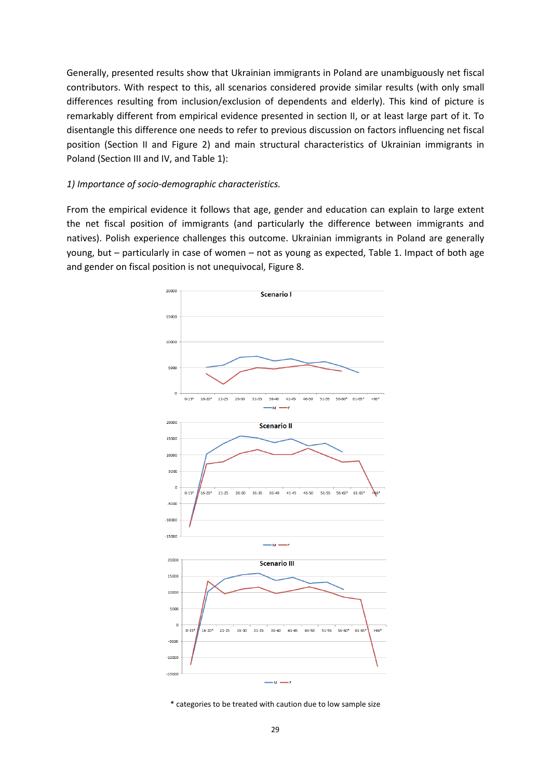Generally, presented results show that Ukrainian immigrants in Poland are unambiguously net fiscal contributors. With respect to this, all scenarios considered provide similar results (with only small differences resulting from inclusion/exclusion of dependents and elderly). This kind of picture is remarkably different from empirical evidence presented in section II, or at least large part of it. To disentangle this difference one needs to refer to previous discussion on factors influencing net fiscal position (Section II and Figure 2) and main structural characteristics of Ukrainian immigrants in Poland (Section III and IV, and Table 1):

#### *1) Importance of socio-demographic characteristics.*

From the empirical evidence it follows that age, gender and education can explain to large extent the net fiscal position of immigrants (and particularly the difference between immigrants and natives). Polish experience challenges this outcome. Ukrainian immigrants in Poland are generally young, but – particularly in case of women – not as young as expected, Table 1. Impact of both age and gender on fiscal position is not unequivocal, Figure 8.



\* categories to be treated with caution due to low sample size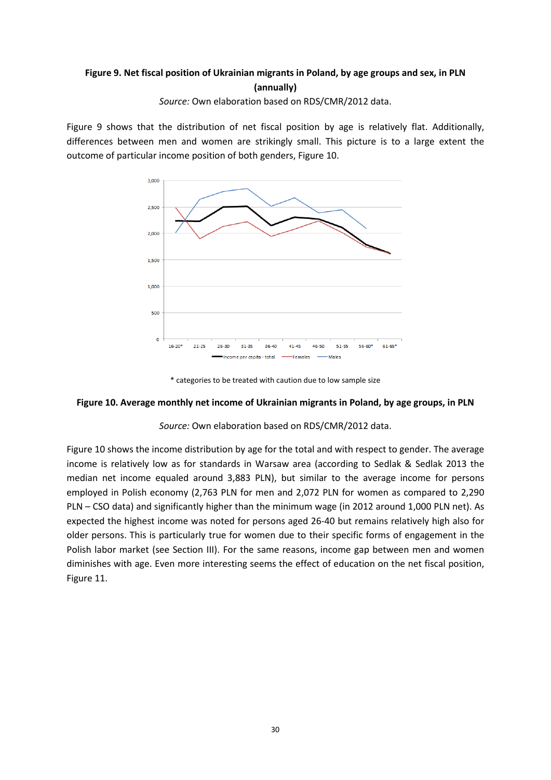# **Figure 9. Net fiscal position of Ukrainian migrants in Poland, by age groups and sex, in PLN (annually)**

*Source:* Own elaboration based on RDS/CMR/2012 data.

Figure 9 shows that the distribution of net fiscal position by age is relatively flat. Additionally, differences between men and women are strikingly small. This picture is to a large extent the outcome of particular income position of both genders, Figure 10.



\* categories to be treated with caution due to low sample size

#### **Figure 10. Average monthly net income of Ukrainian migrants in Poland, by age groups, in PLN**

#### *Source:* Own elaboration based on RDS/CMR/2012 data.

Figure 10 shows the income distribution by age for the total and with respect to gender. The average income is relatively low as for standards in Warsaw area (according to Sedlak & Sedlak 2013 the median net income equaled around 3,883 PLN), but similar to the average income for persons employed in Polish economy (2,763 PLN for men and 2,072 PLN for women as compared to 2,290 PLN – CSO data) and significantly higher than the minimum wage (in 2012 around 1,000 PLN net). As expected the highest income was noted for persons aged 26-40 but remains relatively high also for older persons. This is particularly true for women due to their specific forms of engagement in the Polish labor market (see Section III). For the same reasons, income gap between men and women diminishes with age. Even more interesting seems the effect of education on the net fiscal position, Figure 11.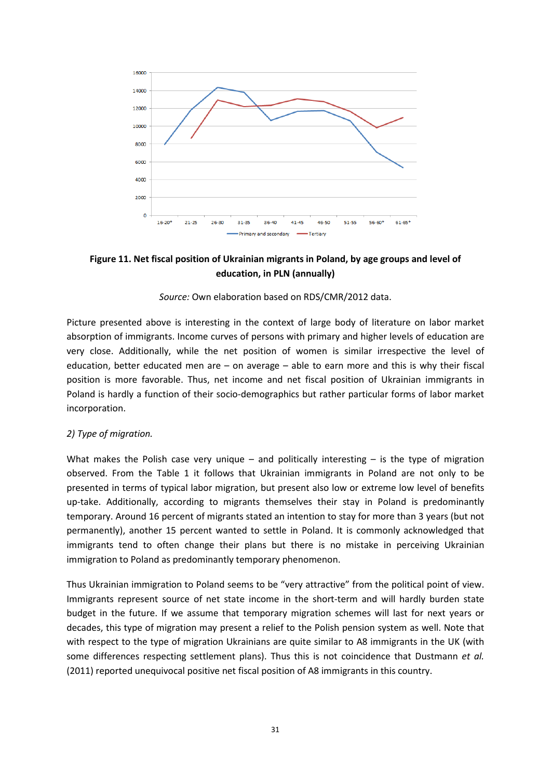

**Figure 11. Net fiscal position of Ukrainian migrants in Poland, by age groups and level of education, in PLN (annually)**

#### *Source:* Own elaboration based on RDS/CMR/2012 data.

Picture presented above is interesting in the context of large body of literature on labor market absorption of immigrants. Income curves of persons with primary and higher levels of education are very close. Additionally, while the net position of women is similar irrespective the level of education, better educated men are  $-$  on average  $-$  able to earn more and this is why their fiscal position is more favorable. Thus, net income and net fiscal position of Ukrainian immigrants in Poland is hardly a function of their socio-demographics but rather particular forms of labor market incorporation.

#### *2) Type of migration.*

What makes the Polish case very unique – and politically interesting – is the type of migration observed. From the Table 1 it follows that Ukrainian immigrants in Poland are not only to be presented in terms of typical labor migration, but present also low or extreme low level of benefits up-take. Additionally, according to migrants themselves their stay in Poland is predominantly temporary. Around 16 percent of migrants stated an intention to stay for more than 3 years (but not permanently), another 15 percent wanted to settle in Poland. It is commonly acknowledged that immigrants tend to often change their plans but there is no mistake in perceiving Ukrainian immigration to Poland as predominantly temporary phenomenon.

Thus Ukrainian immigration to Poland seems to be "very attractive" from the political point of view. Immigrants represent source of net state income in the short-term and will hardly burden state budget in the future. If we assume that temporary migration schemes will last for next years or decades, this type of migration may present a relief to the Polish pension system as well. Note that with respect to the type of migration Ukrainians are quite similar to A8 immigrants in the UK (with some differences respecting settlement plans). Thus this is not coincidence that Dustmann *et al.* (2011) reported unequivocal positive net fiscal position of A8 immigrants in this country.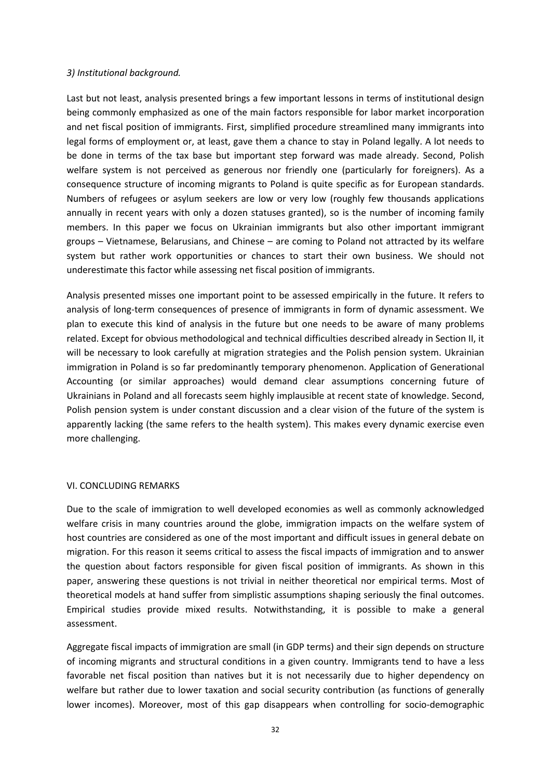#### *3) Institutional background.*

Last but not least, analysis presented brings a few important lessons in terms of institutional design being commonly emphasized as one of the main factors responsible for labor market incorporation and net fiscal position of immigrants. First, simplified procedure streamlined many immigrants into legal forms of employment or, at least, gave them a chance to stay in Poland legally. A lot needs to be done in terms of the tax base but important step forward was made already. Second, Polish welfare system is not perceived as generous nor friendly one (particularly for foreigners). As a consequence structure of incoming migrants to Poland is quite specific as for European standards. Numbers of refugees or asylum seekers are low or very low (roughly few thousands applications annually in recent years with only a dozen statuses granted), so is the number of incoming family members. In this paper we focus on Ukrainian immigrants but also other important immigrant groups – Vietnamese, Belarusians, and Chinese – are coming to Poland not attracted by its welfare system but rather work opportunities or chances to start their own business. We should not underestimate this factor while assessing net fiscal position of immigrants.

Analysis presented misses one important point to be assessed empirically in the future. It refers to analysis of long-term consequences of presence of immigrants in form of dynamic assessment. We plan to execute this kind of analysis in the future but one needs to be aware of many problems related. Except for obvious methodological and technical difficulties described already in Section II, it will be necessary to look carefully at migration strategies and the Polish pension system. Ukrainian immigration in Poland is so far predominantly temporary phenomenon. Application of Generational Accounting (or similar approaches) would demand clear assumptions concerning future of Ukrainians in Poland and all forecasts seem highly implausible at recent state of knowledge. Second, Polish pension system is under constant discussion and a clear vision of the future of the system is apparently lacking (the same refers to the health system). This makes every dynamic exercise even more challenging.

#### VI. CONCLUDING REMARKS

Due to the scale of immigration to well developed economies as well as commonly acknowledged welfare crisis in many countries around the globe, immigration impacts on the welfare system of host countries are considered as one of the most important and difficult issues in general debate on migration. For this reason it seems critical to assess the fiscal impacts of immigration and to answer the question about factors responsible for given fiscal position of immigrants. As shown in this paper, answering these questions is not trivial in neither theoretical nor empirical terms. Most of theoretical models at hand suffer from simplistic assumptions shaping seriously the final outcomes. Empirical studies provide mixed results. Notwithstanding, it is possible to make a general assessment.

Aggregate fiscal impacts of immigration are small (in GDP terms) and their sign depends on structure of incoming migrants and structural conditions in a given country. Immigrants tend to have a less favorable net fiscal position than natives but it is not necessarily due to higher dependency on welfare but rather due to lower taxation and social security contribution (as functions of generally lower incomes). Moreover, most of this gap disappears when controlling for socio-demographic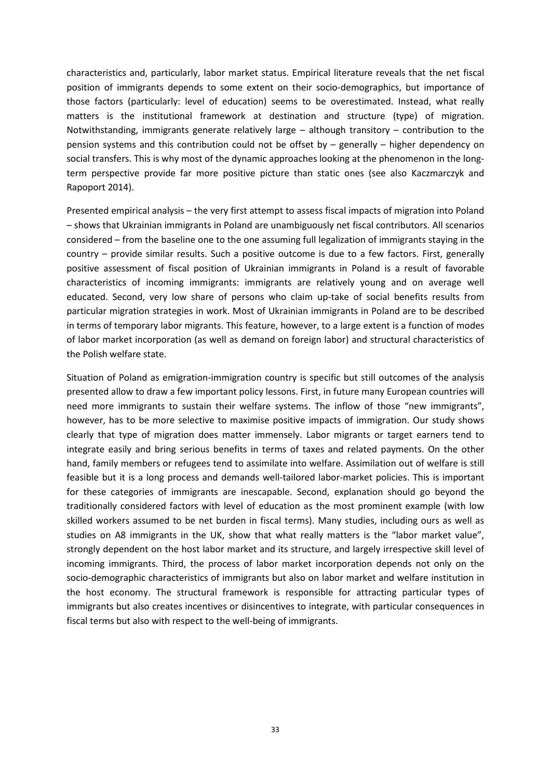characteristics and, particularly, labor market status. Empirical literature reveals that the net fiscal position of immigrants depends to some extent on their socio-demographics, but importance of those factors (particularly: level of education) seems to be overestimated. Instead, what really matters is the institutional framework at destination and structure (type) of migration. Notwithstanding, immigrants generate relatively large – although transitory – contribution to the pension systems and this contribution could not be offset by – generally – higher dependency on social transfers. This is why most of the dynamic approaches looking at the phenomenon in the longterm perspective provide far more positive picture than static ones (see also Kaczmarczyk and Rapoport 2014).

Presented empirical analysis – the very first attempt to assess fiscal impacts of migration into Poland – shows that Ukrainian immigrants in Poland are unambiguously net fiscal contributors. All scenarios considered – from the baseline one to the one assuming full legalization of immigrants staying in the country – provide similar results. Such a positive outcome is due to a few factors. First, generally positive assessment of fiscal position of Ukrainian immigrants in Poland is a result of favorable characteristics of incoming immigrants: immigrants are relatively young and on average well educated. Second, very low share of persons who claim up-take of social benefits results from particular migration strategies in work. Most of Ukrainian immigrants in Poland are to be described in terms of temporary labor migrants. This feature, however, to a large extent is a function of modes of labor market incorporation (as well as demand on foreign labor) and structural characteristics of the Polish welfare state.

Situation of Poland as emigration-immigration country is specific but still outcomes of the analysis presented allow to draw a few important policy lessons. First, in future many European countries will need more immigrants to sustain their welfare systems. The inflow of those "new immigrants", however, has to be more selective to maximise positive impacts of immigration. Our study shows clearly that type of migration does matter immensely. Labor migrants or target earners tend to integrate easily and bring serious benefits in terms of taxes and related payments. On the other hand, family members or refugees tend to assimilate into welfare. Assimilation out of welfare is still feasible but it is a long process and demands well-tailored labor-market policies. This is important for these categories of immigrants are inescapable. Second, explanation should go beyond the traditionally considered factors with level of education as the most prominent example (with low skilled workers assumed to be net burden in fiscal terms). Many studies, including ours as well as studies on A8 immigrants in the UK, show that what really matters is the "labor market value", strongly dependent on the host labor market and its structure, and largely irrespective skill level of incoming immigrants. Third, the process of labor market incorporation depends not only on the socio-demographic characteristics of immigrants but also on labor market and welfare institution in the host economy. The structural framework is responsible for attracting particular types of immigrants but also creates incentives or disincentives to integrate, with particular consequences in fiscal terms but also with respect to the well-being of immigrants.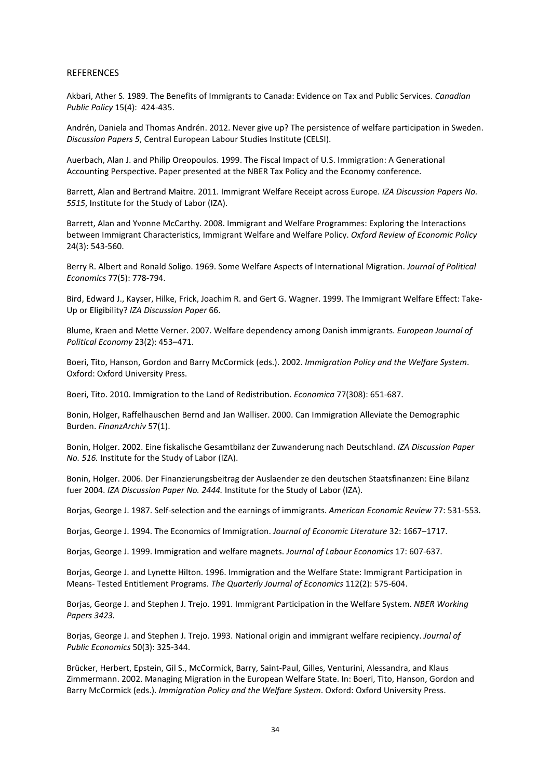#### REFERENCES

Akbari, Ather S. 1989. The Benefits of Immigrants to Canada: Evidence on Tax and Public Services. *Canadian Public Policy* 15(4): 424-435.

Andrén, Daniela and Thomas Andrén. 2012. Never give up? The persistence of welfare participation in Sweden. *Discussion Papers 5*, Central European Labour Studies Institute (CELSI).

Auerbach, Alan J. and Philip Oreopoulos. 1999. The Fiscal Impact of U.S. Immigration: A Generational Accounting Perspective. Paper presented at the NBER Tax Policy and the Economy conference.

Barrett, Alan and Bertrand Maitre. 2011. Immigrant Welfare Receipt across Europe. *IZA Discussion Papers No. 5515*, Institute for the Study of Labor (IZA).

Barrett, Alan and Yvonne McCarthy. 2008. Immigrant and Welfare Programmes: Exploring the Interactions between Immigrant Characteristics, Immigrant Welfare and Welfare Policy. *Oxford Review of Economic Policy* 24(3): 543-560.

Berry R. Albert and Ronald Soligo. 1969. Some Welfare Aspects of International Migration. *Journal of Political Economics* 77(5): 778-794.

Bird, Edward J., Kayser, Hilke, Frick, Joachim R. and Gert G. Wagner. 1999. The Immigrant Welfare Effect: Take-Up or Eligibility? *IZA Discussion Paper* 66.

Blume, Kraen and Mette Verner. 2007. Welfare dependency among Danish immigrants. *European Journal of Political Economy* 23(2): 453–471.

Boeri, Tito, Hanson, Gordon and Barry McCormick (eds.). 2002. *Immigration Policy and the Welfare System*. Oxford: Oxford University Press.

Boeri, Tito. 2010. Immigration to the Land of Redistribution. *Economica* 77(308): 651-687.

Bonin, Holger, Raffelhauschen Bernd and Jan Walliser. 2000. Can Immigration Alleviate the Demographic Burden. *FinanzArchiv* 57(1).

Bonin, Holger. 2002. Eine fiskalische Gesamtbilanz der Zuwanderung nach Deutschland. *IZA Discussion Paper No. 516.* Institute for the Study of Labor (IZA).

Bonin, Holger. 2006. Der Finanzierungsbeitrag der Auslaender ze den deutschen Staatsfinanzen: Eine Bilanz fuer 2004. *IZA Discussion Paper No. 2444.* Institute for the Study of Labor (IZA).

Borjas, George J. 1987. Self-selection and the earnings of immigrants. *American Economic Review* 77: 531-553.

Borjas, George J. 1994. The Economics of Immigration. *Journal of Economic Literature* 32: 1667–1717.

Borjas, George J. 1999. Immigration and welfare magnets. *Journal of Labour Economics* 17: 607-637.

Borjas, George J. and Lynette Hilton. 1996. Immigration and the Welfare State: Immigrant Participation in Means- Tested Entitlement Programs. *The Quarterly Journal of Economics* 112(2): 575-604.

Borjas, George J. and Stephen J. Trejo. 1991. Immigrant Participation in the Welfare System. *NBER Working Papers 3423.*

Borjas, George J. and Stephen J. Trejo. 1993. National origin and immigrant welfare recipiency. *Journal of Public Economics* 50(3): 325-344.

Brücker, Herbert, Epstein, Gil S., McCormick, Barry, Saint-Paul, Gilles, Venturini, Alessandra, and Klaus Zimmermann. 2002. Managing Migration in the European Welfare State. In: Boeri, Tito, Hanson, Gordon and Barry McCormick (eds.). *Immigration Policy and the Welfare System*. Oxford: Oxford University Press.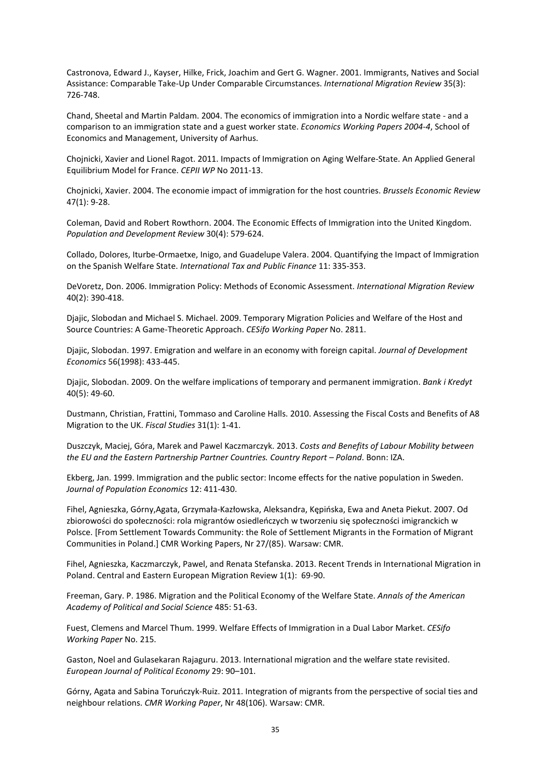Castronova, Edward J., Kayser, Hilke, Frick, Joachim and Gert G. Wagner. 2001. Immigrants, Natives and Social Assistance: Comparable Take-Up Under Comparable Circumstances. *International Migration Review* 35(3): 726-748.

Chand, Sheetal and Martin Paldam. 2004. The economics of immigration into a Nordic welfare state - and a comparison to an immigration state and a guest worker state. *Economics Working Papers 2004-4*, School of Economics and Management, University of Aarhus.

Chojnicki, Xavier and Lionel Ragot. 2011. Impacts of Immigration on Aging Welfare-State. An Applied General Equilibrium Model for France. *CEPII WP* No 2011-13.

Chojnicki, Xavier. 2004. The economie impact of immigration for the host countries. *Brussels Economic Review* 47(1): 9-28.

Coleman, David and Robert Rowthorn. 2004. The Economic Effects of Immigration into the United Kingdom. *Population and Development Review* 30(4): 579-624.

Collado, Dolores, Iturbe-Ormaetxe, Inigo, and Guadelupe Valera. 2004. Quantifying the Impact of Immigration on the Spanish Welfare State. *International Tax and Public Finance* 11: 335-353.

DeVoretz, Don. 2006. Immigration Policy: Methods of Economic Assessment. *International Migration Review* 40(2): 390-418.

Djajic, Slobodan and Michael S. Michael. 2009. Temporary Migration Policies and Welfare of the Host and Source Countries: A Game-Theoretic Approach. *CESifo Working Paper* No. 2811.

Djajic, Slobodan. 1997. Emigration and welfare in an economy with foreign capital. *Journal of Development Economics* 56(1998): 433-445.

Djajic, Slobodan. 2009. On the welfare implications of temporary and permanent immigration. *Bank i Kredyt* 40(5): 49-60.

Dustmann, Christian, Frattini, Tommaso and Caroline Halls. 2010. Assessing the Fiscal Costs and Benefits of A8 Migration to the UK. *Fiscal Studies* 31(1): 1-41.

Duszczyk, Maciej, Góra, Marek and Pawel Kaczmarczyk. 2013. *Costs and Benefits of Labour Mobility between the EU and the Eastern Partnership Partner Countries. Country Report – Poland*. Bonn: IZA.

Ekberg, Jan. 1999. Immigration and the public sector: Income effects for the native population in Sweden. *Journal of Population Economics* 12: 411-430.

Fihel, Agnieszka, Górny,Agata, Grzymała-Kazłowska, Aleksandra, Kępińska, Ewa and Aneta Piekut. 2007. Od zbiorowości do społeczności: rola migrantów osiedleńczych w tworzeniu się społeczności imigranckich w Polsce. [From Settlement Towards Community: the Role of Settlement Migrants in the Formation of Migrant Communities in Poland.] CMR Working Papers, Nr 27/(85). Warsaw: CMR.

Fihel, Agnieszka, Kaczmarczyk, Pawel, and Renata Stefanska. 2013. Recent Trends in International Migration in Poland. Central and Eastern European Migration Review 1(1): 69-90.

Freeman, Gary. P. 1986. Migration and the Political Economy of the Welfare State. *Annals of the American Academy of Political and Social Science* 485: 51-63.

Fuest, Clemens and Marcel Thum. 1999. Welfare Effects of Immigration in a Dual Labor Market. *CESifo Working Paper* No. 215.

Gaston, Noel and Gulasekaran Rajaguru. 2013. International migration and the welfare state revisited. *European Journal of Political Economy* 29: 90–101.

Górny, Agata and Sabina Toruńczyk-Ruiz. 2011. Integration of migrants from the perspective of social ties and neighbour relations. *CMR Working Paper*, Nr 48(106). Warsaw: CMR.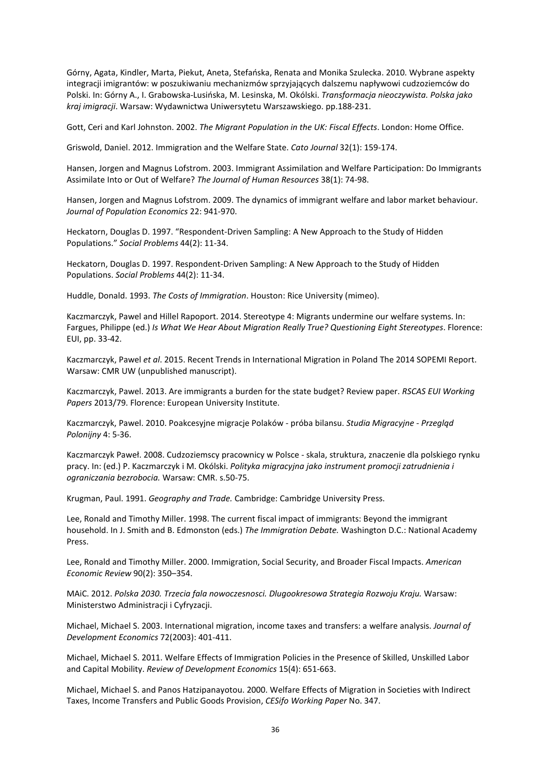Górny, Agata, Kindler, Marta, Piekut, Aneta, Stefańska, Renata and Monika Szulecka. 2010. Wybrane aspekty integracji imigrantów: w poszukiwaniu mechanizmów sprzyjających dalszemu napływowi cudzoziemców do Polski. In: Górny A., I. Grabowska-Lusińska, M. Lesinska, M. Okólski. *Transformacja nieoczywista. Polska jako kraj imigracji*. Warsaw: Wydawnictwa Uniwersytetu Warszawskiego. pp.188-231.

Gott, Ceri and Karl Johnston. 2002. *The Migrant Population in the UK: Fiscal Effects*. London: Home Office.

Griswold, Daniel. 2012. Immigration and the Welfare State. *Cato Journal* 32(1): 159-174.

Hansen, Jorgen and Magnus Lofstrom. 2003. Immigrant Assimilation and Welfare Participation: Do Immigrants Assimilate Into or Out of Welfare? *The Journal of Human Resources* 38(1): 74-98.

Hansen, Jorgen and Magnus Lofstrom. 2009. The dynamics of immigrant welfare and labor market behaviour. *Journal of Population Economics* 22: 941-970.

Heckatorn, Douglas D. 1997. "Respondent-Driven Sampling: A New Approach to the Study of Hidden Populations." *Social Problems* 44(2): 11-34.

Heckatorn, Douglas D. 1997. Respondent-Driven Sampling: A New Approach to the Study of Hidden Populations. *Social Problems* 44(2): 11-34.

Huddle, Donald. 1993. *The Costs of Immigration*. Houston: Rice University (mimeo).

Kaczmarczyk, Pawel and Hillel Rapoport. 2014. Stereotype 4: Migrants undermine our welfare systems. In: Fargues, Philippe (ed.) *Is What We Hear About Migration Really True? Questioning Eight Stereotypes*. Florence: EUI, pp. 33-42.

Kaczmarczyk, Pawel *et al*. 2015. Recent Trends in International Migration in Poland The 2014 SOPEMI Report. Warsaw: CMR UW (unpublished manuscript).

Kaczmarczyk, Pawel. 2013. Are immigrants a burden for the state budget? Review paper. *RSCAS EUI Working Papers* 2013/79. Florence: European University Institute.

Kaczmarczyk, Pawel. 2010. Poakcesyjne migracje Polaków - próba bilansu. *Studia Migracyjne - Przegląd Polonijny* 4: 5-36.

Kaczmarczyk Paweł. 2008. Cudzoziemscy pracownicy w Polsce - skala, struktura, znaczenie dla polskiego rynku pracy. In: (ed.) P. Kaczmarczyk i M. Okólski. *Polityka migracyjna jako instrument promocji zatrudnienia i ograniczania bezrobocia.* Warsaw: CMR. s.50-75.

Krugman, Paul. 1991. *Geography and Trade.* Cambridge: Cambridge University Press.

Lee, Ronald and Timothy Miller. 1998. The current fiscal impact of immigrants: Beyond the immigrant household. In J. Smith and B. Edmonston (eds.) *The Immigration Debate.* Washington D.C.: National Academy Press.

Lee, Ronald and Timothy Miller. 2000. Immigration, Social Security, and Broader Fiscal Impacts. *American Economic Review* 90(2): 350–354.

MAiC. 2012. *Polska 2030. Trzecia fala nowoczesnosci. Dlugookresowa Strategia Rozwoju Kraju.* Warsaw: Ministerstwo Administracji i Cyfryzacji.

Michael, Michael S. 2003. International migration, income taxes and transfers: a welfare analysis. *Journal of Development Economics* 72(2003): 401-411.

Michael, Michael S. 2011. Welfare Effects of Immigration Policies in the Presence of Skilled, Unskilled Labor and Capital Mobility. *Review of Development Economics* 15(4): 651-663.

Michael, Michael S. and Panos Hatzipanayotou. 2000. Welfare Effects of Migration in Societies with Indirect Taxes, Income Transfers and Public Goods Provision, *CESifo Working Paper* No. 347.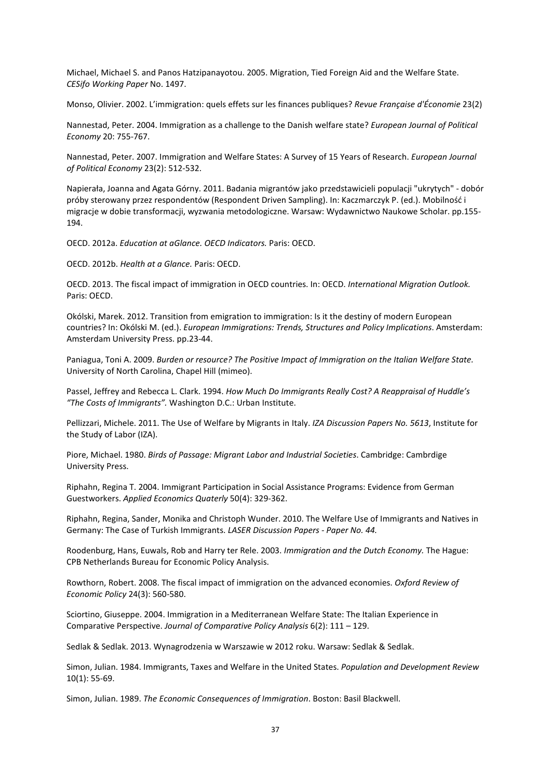Michael, Michael S. and Panos Hatzipanayotou. 2005. Migration, Tied Foreign Aid and the Welfare State. *CESifo Working Paper* No. 1497.

Monso, Olivier. 2002. L'immigration: quels effets sur les finances publiques? *Revue Française d'Économie* 23(2)

Nannestad, Peter. 2004. Immigration as a challenge to the Danish welfare state? *European Journal of Political Economy* 20: 755-767.

Nannestad, Peter. 2007. Immigration and Welfare States: A Survey of 15 Years of Research. *European Journal of Political Economy* 23(2): 512-532.

Napierała, Joanna and Agata Górny. 2011. Badania migrantów jako przedstawicieli populacji "ukrytych" - dobór próby sterowany przez respondentów (Respondent Driven Sampling). In: Kaczmarczyk P. (ed.). Mobilność i migracje w dobie transformacji, wyzwania metodologiczne. Warsaw: Wydawnictwo Naukowe Scholar. pp.155- 194.

OECD. 2012a. *Education at aGlance. OECD Indicators.* Paris: OECD.

OECD. 2012b. *Health at a Glance.* Paris: OECD.

OECD. 2013. The fiscal impact of immigration in OECD countries. In: OECD. *International Migration Outlook.* Paris: OECD.

Okólski, Marek. 2012. Transition from emigration to immigration: Is it the destiny of modern European countries? In: Okólski M. (ed.). *European Immigrations: Trends, Structures and Policy Implications*. Amsterdam: Amsterdam University Press. pp.23-44.

Paniagua, Toni A. 2009. *Burden or resource? The Positive Impact of Immigration on the Italian Welfare State.* University of North Carolina, Chapel Hill (mimeo).

Passel, Jeffrey and Rebecca L. Clark. 1994. *How Much Do Immigrants Really Cost? A Reappraisal of Huddle's "The Costs of Immigrants".* Washington D.C.: Urban Institute.

Pellizzari, Michele. 2011. The Use of Welfare by Migrants in Italy. *IZA Discussion Papers No. 5613*, Institute for the Study of Labor (IZA).

Piore, Michael. 1980. *Birds of Passage: Migrant Labor and Industrial Societies*. Cambridge: Cambrdige University Press.

Riphahn, Regina T. 2004. Immigrant Participation in Social Assistance Programs: Evidence from German Guestworkers. *Applied Economics Quaterly* 50(4): 329-362.

Riphahn, Regina, Sander, Monika and Christoph Wunder. 2010. The Welfare Use of Immigrants and Natives in Germany: The Case of Turkish Immigrants. *LASER Discussion Papers - Paper No. 44.*

Roodenburg, Hans, Euwals, Rob and Harry ter Rele. 2003. *Immigration and the Dutch Economy.* The Hague: CPB Netherlands Bureau for Economic Policy Analysis.

Rowthorn, Robert. 2008. The fiscal impact of immigration on the advanced economies. *Oxford Review of Economic Policy* 24(3): 560-580.

Sciortino, Giuseppe. 2004. Immigration in a Mediterranean Welfare State: The Italian Experience in Comparative Perspective. *Journal of Comparative Policy Analysis* 6(2): 111 – 129.

Sedlak & Sedlak. 2013. Wynagrodzenia w Warszawie w 2012 roku. Warsaw: Sedlak & Sedlak.

Simon, Julian. 1984. Immigrants, Taxes and Welfare in the United States. *Population and Development Review* 10(1): 55-69.

Simon, Julian. 1989. *The Economic Consequences of Immigration*. Boston: Basil Blackwell.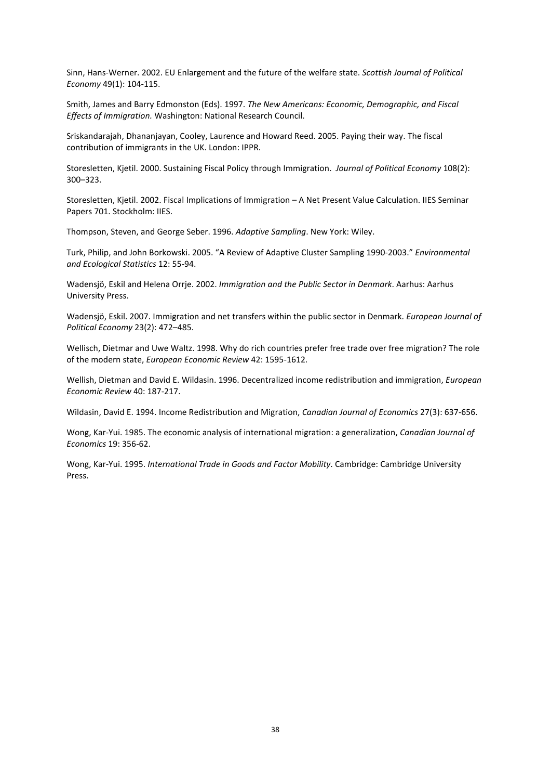Sinn, Hans-Werner. 2002. EU Enlargement and the future of the welfare state. *Scottish Journal of Political Economy* 49(1): 104-115.

Smith, James and Barry Edmonston (Eds). 1997. *The New Americans: Economic, Demographic, and Fiscal Effects of Immigration.* Washington: National Research Council.

Sriskandarajah, Dhananjayan, Cooley, Laurence and Howard Reed. 2005. Paying their way. The fiscal contribution of immigrants in the UK. London: IPPR.

Storesletten, Kjetil. 2000. Sustaining Fiscal Policy through Immigration. *Journal of Political Economy* 108(2): 300–323.

Storesletten, Kjetil. 2002. Fiscal Implications of Immigration – A Net Present Value Calculation. IIES Seminar Papers 701. Stockholm: IIES.

Thompson, Steven, and George Seber. 1996. *Adaptive Sampling*. New York: Wiley.

Turk, Philip, and John Borkowski. 2005. "A Review of Adaptive Cluster Sampling 1990-2003." *Environmental and Ecological Statistics* 12: 55-94.

Wadensjö, Eskil and Helena Orrje. 2002. *Immigration and the Public Sector in Denmark*. Aarhus: Aarhus University Press.

Wadensjö, Eskil. 2007. Immigration and net transfers within the public sector in Denmark. *European Journal of Political Economy* 23(2): 472–485.

Wellisch, Dietmar and Uwe Waltz. 1998. Why do rich countries prefer free trade over free migration? The role of the modern state, *European Economic Review* 42: 1595-1612.

Wellish, Dietman and David E. Wildasin. 1996. Decentralized income redistribution and immigration, *European Economic Review* 40: 187-217.

Wildasin, David E. 1994. Income Redistribution and Migration, *Canadian Journal of Economics* 27(3): 637-656.

Wong, Kar-Yui. 1985. The economic analysis of international migration: a generalization, *Canadian Journal of Economics* 19: 356-62.

Wong, Kar-Yui. 1995. *International Trade in Goods and Factor Mobility*. Cambridge: Cambridge University Press.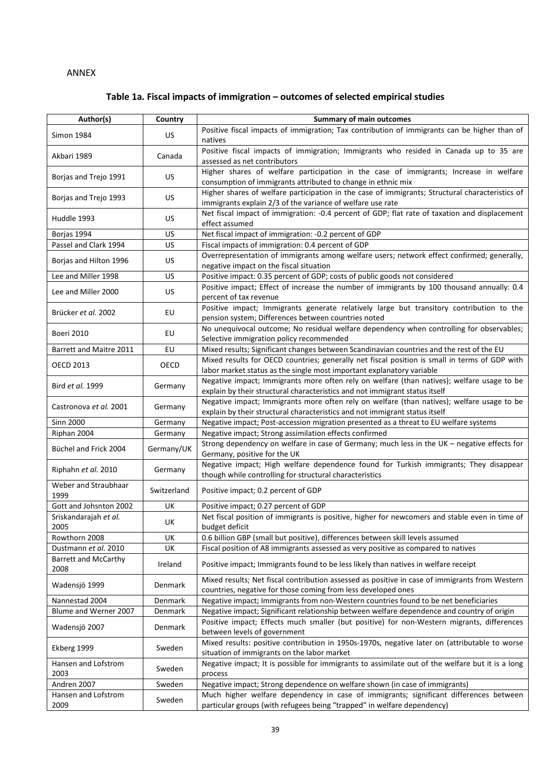#### ANNEX

# **Table 1a. Fiscal impacts of immigration – outcomes of selected empirical studies**

| Author(s)                            | Country     | <b>Summary of main outcomes</b>                                                                                                                                           |  |
|--------------------------------------|-------------|---------------------------------------------------------------------------------------------------------------------------------------------------------------------------|--|
| <b>Simon 1984</b>                    | US.         | Positive fiscal impacts of immigration; Tax contribution of immigrants can be higher than of<br>natives                                                                   |  |
| Akbari 1989                          | Canada      | Positive fiscal impacts of immigration; Immigrants who resided in Canada up to 35 are<br>assessed as net contributors                                                     |  |
| Borjas and Trejo 1991                | US.         | Higher shares of welfare participation in the case of immigrants; Increase in welfare                                                                                     |  |
| Borjas and Trejo 1993                | <b>US</b>   | consumption of immigrants attributed to change in ethnic mix<br>Higher shares of welfare participation in the case of immigrants; Structural characteristics of           |  |
| Huddle 1993                          | US          | immigrants explain 2/3 of the variance of welfare use rate<br>Net fiscal impact of immigration: -0.4 percent of GDP; flat rate of taxation and displacement               |  |
|                                      | US          | effect assumed<br>Net fiscal impact of immigration: - 0.2 percent of GDP                                                                                                  |  |
| Borjas 1994<br>Passel and Clark 1994 | US          | Fiscal impacts of immigration: 0.4 percent of GDP                                                                                                                         |  |
| Borjas and Hilton 1996               | US          | Overrepresentation of immigrants among welfare users; network effect confirmed; generally,<br>negative impact on the fiscal situation                                     |  |
| Lee and Miller 1998                  | <b>US</b>   | Positive impact: 0.35 percent of GDP; costs of public goods not considered                                                                                                |  |
| Lee and Miller 2000                  | US          | Positive impact; Effect of increase the number of immigrants by 100 thousand annually: 0.4<br>percent of tax revenue                                                      |  |
| Brücker et al. 2002                  | EU          | Positive impact; Immigrants generate relatively large but transitory contribution to the<br>pension system; Differences between countries noted                           |  |
| Boeri 2010                           | EU          | No unequivocal outcome; No residual welfare dependency when controlling for observables;<br>Selective immigration policy recommended                                      |  |
| Barrett and Maitre 2011              | EU          | Mixed results; Significant changes between Scandinavian countries and the rest of the EU                                                                                  |  |
| <b>OECD 2013</b>                     | OECD        | Mixed results for OECD countries; generally net fiscal position is small in terms of GDP with<br>labor market status as the single most important explanatory variable    |  |
| Bird et al. 1999                     | Germany     | Negative impact; Immigrants more often rely on welfare (than natives); welfare usage to be<br>explain by their structural characteristics and not immigrant status itself |  |
| Castronova et al. 2001               | Germany     | Negative impact; Immigrants more often rely on welfare (than natives); welfare usage to be<br>explain by their structural characteristics and not immigrant status itself |  |
| <b>Sinn 2000</b>                     | Germany     | Negative impact; Post-accession migration presented as a threat to EU welfare systems                                                                                     |  |
| Riphan 2004                          | Germany     | Negative impact; Strong assimilation effects confirmed                                                                                                                    |  |
| Büchel and Frick 2004                | Germany/UK  | Strong dependency on welfare in case of Germany; much less in the UK - negative effects for<br>Germany, positive for the UK                                               |  |
| Riphahn et al. 2010                  | Germany     | Negative impact; High welfare dependence found for Turkish immigrants; They disappear<br>though while controlling for structural characteristics                          |  |
| Weber and Straubhaar<br>1999         | Switzerland | Positive impact; 0.2 percent of GDP                                                                                                                                       |  |
| Gott and Johsnton 2002               | UK          | Positive impact; 0.27 percent of GDP                                                                                                                                      |  |
| Sriskandarajah et al.<br>2005        | UK          | Net fiscal position of immigrants is positive, higher for newcomers and stable even in time of<br>budget deficit                                                          |  |
| Rowthorn 2008                        | UK          | 0.6 billion GBP (small but positive), differences between skill levels assumed                                                                                            |  |
| Dustmann et al. 2010                 | UK          | Fiscal position of A8 immigrants assessed as very positive as compared to natives                                                                                         |  |
| <b>Barrett and McCarthy</b><br>2008  | Ireland     | Positive impact; Immigrants found to be less likely than natives in welfare receipt                                                                                       |  |
| Wadensjö 1999                        | Denmark     | Mixed results; Net fiscal contribution assessed as positive in case of immigrants from Western<br>countries, negative for those coming from less developed ones           |  |
| Nannestad 2004                       | Denmark     | Negative impact; Immigrants from non-Western countries found to be net beneficiaries                                                                                      |  |
| Blume and Werner 2007                | Denmark     | Negative impact; Significant relationship between welfare dependence and country of origin                                                                                |  |
| Wadensjö 2007                        | Denmark     | Positive impact; Effects much smaller (but positive) for non-Western migrants, differences<br>between levels of government                                                |  |
| Ekberg 1999                          | Sweden      | Mixed results: positive contribution in 1950s-1970s, negative later on (attributable to worse<br>situation of immigrants on the labor market                              |  |
| Hansen and Lofstrom<br>2003          | Sweden      | Negative impact; It is possible for immigrants to assimilate out of the welfare but it is a long<br>process                                                               |  |
| Andren 2007                          | Sweden      | Negative impact; Strong dependence on welfare shown (in case of immigrants)                                                                                               |  |
| Hansen and Lofstrom                  | Sweden      | Much higher welfare dependency in case of immigrants; significant differences between                                                                                     |  |
| 2009                                 |             | particular groups (with refugees being "trapped" in welfare dependency)                                                                                                   |  |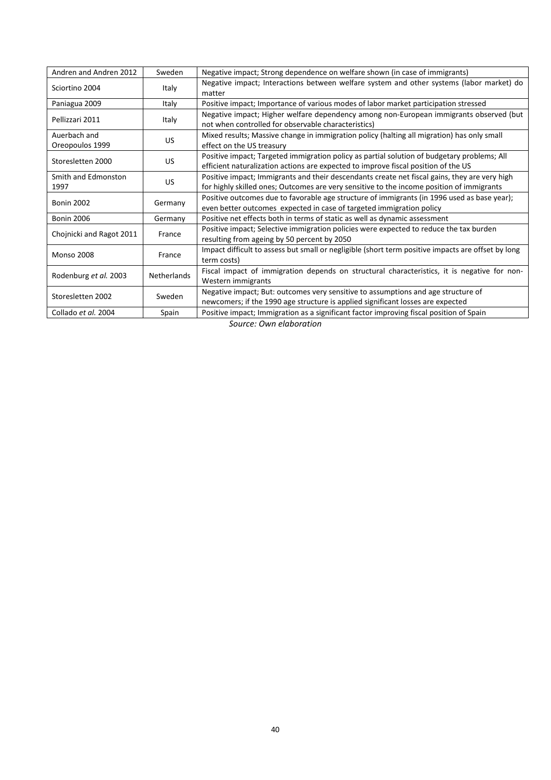| Andren and Andren 2012                | Sweden      | Negative impact; Strong dependence on welfare shown (in case of immigrants)                        |
|---------------------------------------|-------------|----------------------------------------------------------------------------------------------------|
| Sciortino 2004                        | Italy       | Negative impact; Interactions between welfare system and other systems (labor market) do           |
|                                       |             | matter                                                                                             |
| Paniagua 2009                         | Italy       | Positive impact; Importance of various modes of labor market participation stressed                |
| Pellizzari 2011                       | Italy       | Negative impact; Higher welfare dependency among non-European immigrants observed (but             |
|                                       |             | not when controlled for observable characteristics)                                                |
| Auerbach and<br>US<br>Oreopoulos 1999 |             | Mixed results; Massive change in immigration policy (halting all migration) has only small         |
|                                       |             | effect on the US treasury                                                                          |
| Storesletten 2000                     |             | Positive impact; Targeted immigration policy as partial solution of budgetary problems; All        |
|                                       | <b>US</b>   | efficient naturalization actions are expected to improve fiscal position of the US                 |
| Smith and Edmonston                   | US          | Positive impact; Immigrants and their descendants create net fiscal gains, they are very high      |
| 1997                                  |             | for highly skilled ones; Outcomes are very sensitive to the income position of immigrants          |
|                                       | Germany     | Positive outcomes due to favorable age structure of immigrants (in 1996 used as base year);        |
| <b>Bonin 2002</b>                     |             | even better outcomes expected in case of targeted immigration policy                               |
| <b>Bonin 2006</b>                     | Germany     | Positive net effects both in terms of static as well as dynamic assessment                         |
| Chojnicki and Ragot 2011              | France      | Positive impact; Selective immigration policies were expected to reduce the tax burden             |
|                                       |             | resulting from ageing by 50 percent by 2050                                                        |
| <b>Monso 2008</b>                     | France      | Impact difficult to assess but small or negligible (short term positive impacts are offset by long |
|                                       |             | term costs)                                                                                        |
| Rodenburg et al. 2003                 | Netherlands | Fiscal impact of immigration depends on structural characteristics, it is negative for non-        |
|                                       |             | Western immigrants                                                                                 |
| Storesletten 2002                     | Sweden      | Negative impact; But: outcomes very sensitive to assumptions and age structure of                  |
|                                       |             | newcomers; if the 1990 age structure is applied significant losses are expected                    |
| Collado et al. 2004                   | Spain       | Positive impact; Immigration as a significant factor improving fiscal position of Spain            |

*Source: Own elaboration*